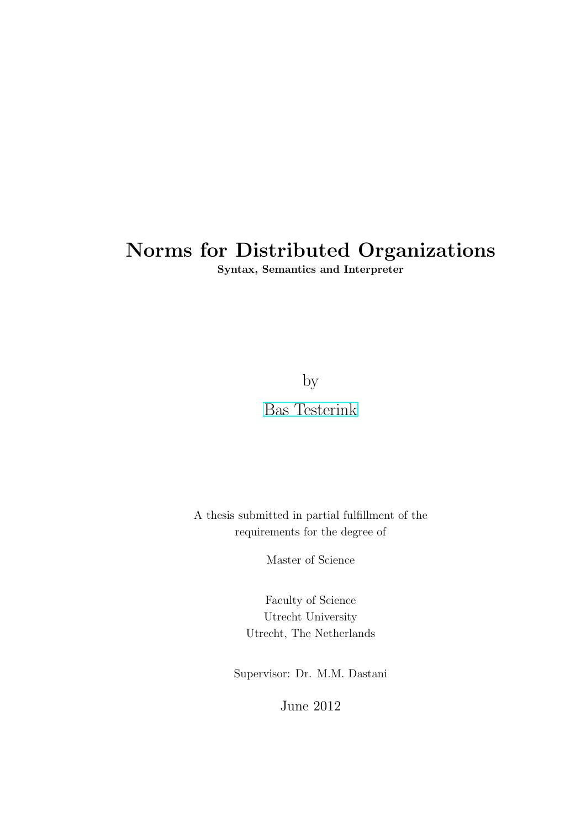# Norms for Distributed Organizations

Syntax, Semantics and Interpreter

by

[Bas Testerink](B.J.G.Testerink@uu.nl)

A thesis submitted in partial fulfillment of the requirements for the degree of

Master of Science

Faculty of Science Utrecht University Utrecht, The Netherlands

Supervisor: Dr. M.M. Dastani

June 2012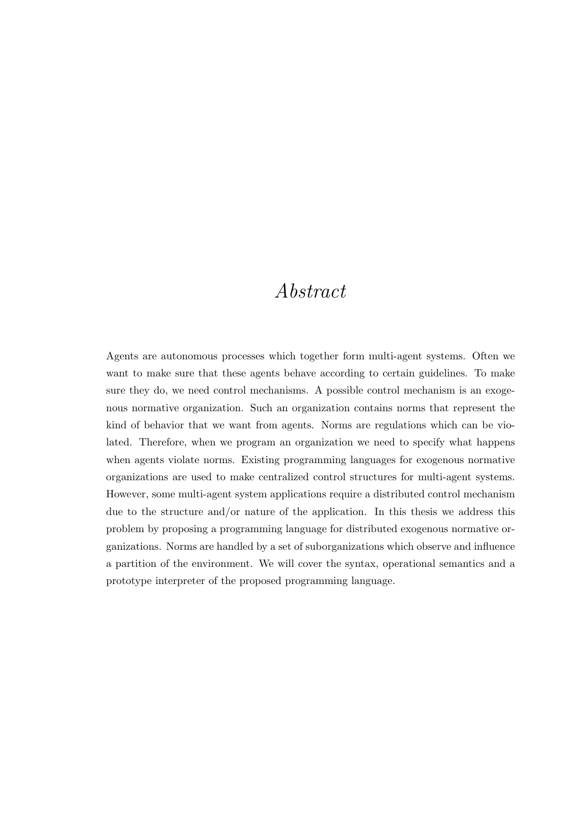## <span id="page-1-0"></span>Abstract

Agents are autonomous processes which together form multi-agent systems. Often we want to make sure that these agents behave according to certain guidelines. To make sure they do, we need control mechanisms. A possible control mechanism is an exogenous normative organization. Such an organization contains norms that represent the kind of behavior that we want from agents. Norms are regulations which can be violated. Therefore, when we program an organization we need to specify what happens when agents violate norms. Existing programming languages for exogenous normative organizations are used to make centralized control structures for multi-agent systems. However, some multi-agent system applications require a distributed control mechanism due to the structure and/or nature of the application. In this thesis we address this problem by proposing a programming language for distributed exogenous normative organizations. Norms are handled by a set of suborganizations which observe and influence a partition of the environment. We will cover the syntax, operational semantics and a prototype interpreter of the proposed programming language.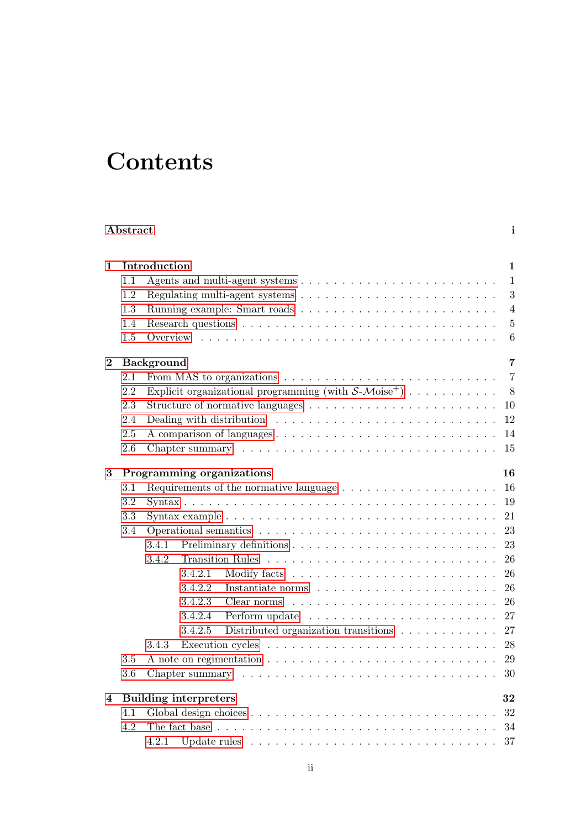# **Contents**

|          | Abstract                           |                                                                                                            | i              |  |  |  |  |  |  |  |  |  |  |  |
|----------|------------------------------------|------------------------------------------------------------------------------------------------------------|----------------|--|--|--|--|--|--|--|--|--|--|--|
| 1        |                                    | Introduction                                                                                               | $\mathbf{1}$   |  |  |  |  |  |  |  |  |  |  |  |
|          | 1.1                                |                                                                                                            | $\mathbf{1}$   |  |  |  |  |  |  |  |  |  |  |  |
|          | 1.2                                |                                                                                                            | 3              |  |  |  |  |  |  |  |  |  |  |  |
|          | 1.3                                |                                                                                                            | $\overline{4}$ |  |  |  |  |  |  |  |  |  |  |  |
|          | 1.4                                |                                                                                                            | $\overline{5}$ |  |  |  |  |  |  |  |  |  |  |  |
|          | 1.5                                |                                                                                                            | 6              |  |  |  |  |  |  |  |  |  |  |  |
| $\bf{2}$ |                                    | <b>Background</b>                                                                                          | 7              |  |  |  |  |  |  |  |  |  |  |  |
|          | 2.1                                | From MAS to organizations $\dots \dots \dots \dots \dots \dots \dots \dots \dots \dots$                    | $\overline{7}$ |  |  |  |  |  |  |  |  |  |  |  |
|          | 2.2                                | Explicit organizational programming (with $S-Moise^+$ )                                                    | 8              |  |  |  |  |  |  |  |  |  |  |  |
|          | 2.3                                |                                                                                                            | 10             |  |  |  |  |  |  |  |  |  |  |  |
|          | 2.4                                |                                                                                                            | 12             |  |  |  |  |  |  |  |  |  |  |  |
|          | 2.5                                |                                                                                                            | 14             |  |  |  |  |  |  |  |  |  |  |  |
|          | 2.6                                |                                                                                                            | 15             |  |  |  |  |  |  |  |  |  |  |  |
| 3        | 16<br>Programming organizations    |                                                                                                            |                |  |  |  |  |  |  |  |  |  |  |  |
|          | 3.1                                | Requirements of the normative language $\dots \dots \dots \dots \dots \dots \dots$                         | 16             |  |  |  |  |  |  |  |  |  |  |  |
|          | 3.2                                |                                                                                                            | 19             |  |  |  |  |  |  |  |  |  |  |  |
|          | 3.3                                | 21<br>Syntax example $\ldots \ldots \ldots \ldots \ldots \ldots \ldots \ldots \ldots \ldots \ldots \ldots$ |                |  |  |  |  |  |  |  |  |  |  |  |
|          | 3.4                                | 23                                                                                                         |                |  |  |  |  |  |  |  |  |  |  |  |
|          |                                    | 3.4.1                                                                                                      | 23             |  |  |  |  |  |  |  |  |  |  |  |
|          |                                    | 3.4.2                                                                                                      | 26             |  |  |  |  |  |  |  |  |  |  |  |
|          |                                    | 3.4.2.1                                                                                                    | 26             |  |  |  |  |  |  |  |  |  |  |  |
|          |                                    | 3.4.2.2                                                                                                    | 26             |  |  |  |  |  |  |  |  |  |  |  |
|          |                                    | 3.4.2.3<br>Clear norms $\ldots \ldots \ldots \ldots \ldots \ldots \ldots \ldots \ldots$                    | 26             |  |  |  |  |  |  |  |  |  |  |  |
|          |                                    | 3.4.2.4<br>Perform update $\dots \dots \dots \dots \dots \dots \dots \dots \dots$                          | 27             |  |  |  |  |  |  |  |  |  |  |  |
|          |                                    | 3.4.2.5<br>Distributed organization transitions $\ldots \ldots \ldots \ldots$                              | 27             |  |  |  |  |  |  |  |  |  |  |  |
|          |                                    | 3.4.3                                                                                                      | 28             |  |  |  |  |  |  |  |  |  |  |  |
|          | 3.5                                | 29                                                                                                         |                |  |  |  |  |  |  |  |  |  |  |  |
|          | 3.6                                | 30                                                                                                         |                |  |  |  |  |  |  |  |  |  |  |  |
| 4        | <b>Building interpreters</b><br>32 |                                                                                                            |                |  |  |  |  |  |  |  |  |  |  |  |
|          | 4.1                                |                                                                                                            | 32             |  |  |  |  |  |  |  |  |  |  |  |
|          | 4.2                                | The fact base $\ldots \ldots \ldots \ldots \ldots \ldots \ldots \ldots \ldots \ldots \ldots$               | 34             |  |  |  |  |  |  |  |  |  |  |  |
|          |                                    | Update rules $\ldots \ldots \ldots \ldots \ldots \ldots \ldots \ldots \ldots \ldots \ldots 37$<br>4.2.1    |                |  |  |  |  |  |  |  |  |  |  |  |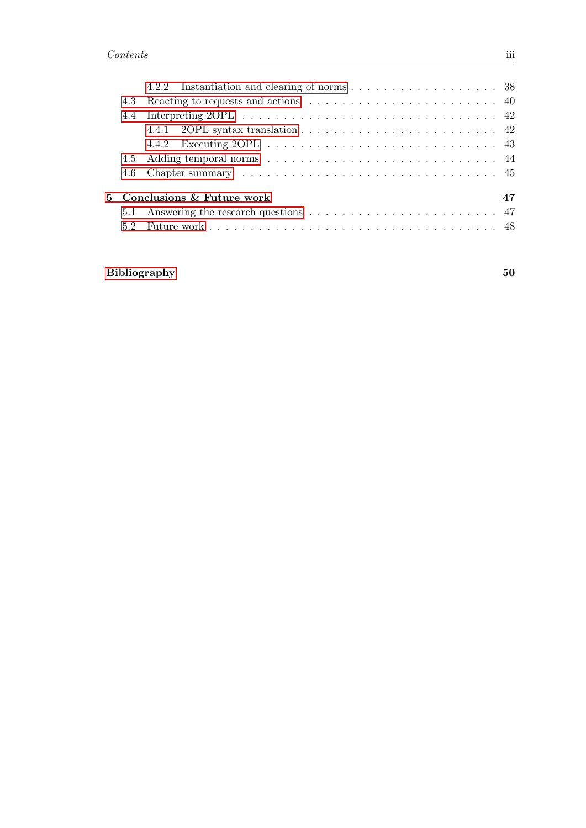|  | 4.4.1 2OPL syntax translation $\ldots \ldots \ldots \ldots \ldots \ldots \ldots \ldots$ |  |  |  |  |  |  |  |  |  |  |    |
|--|-----------------------------------------------------------------------------------------|--|--|--|--|--|--|--|--|--|--|----|
|  |                                                                                         |  |  |  |  |  |  |  |  |  |  |    |
|  |                                                                                         |  |  |  |  |  |  |  |  |  |  |    |
|  |                                                                                         |  |  |  |  |  |  |  |  |  |  |    |
|  | 5 Conclusions & Future work                                                             |  |  |  |  |  |  |  |  |  |  | 47 |
|  |                                                                                         |  |  |  |  |  |  |  |  |  |  |    |
|  |                                                                                         |  |  |  |  |  |  |  |  |  |  |    |
|  |                                                                                         |  |  |  |  |  |  |  |  |  |  |    |

## [Bibliography](#page-53-0) 50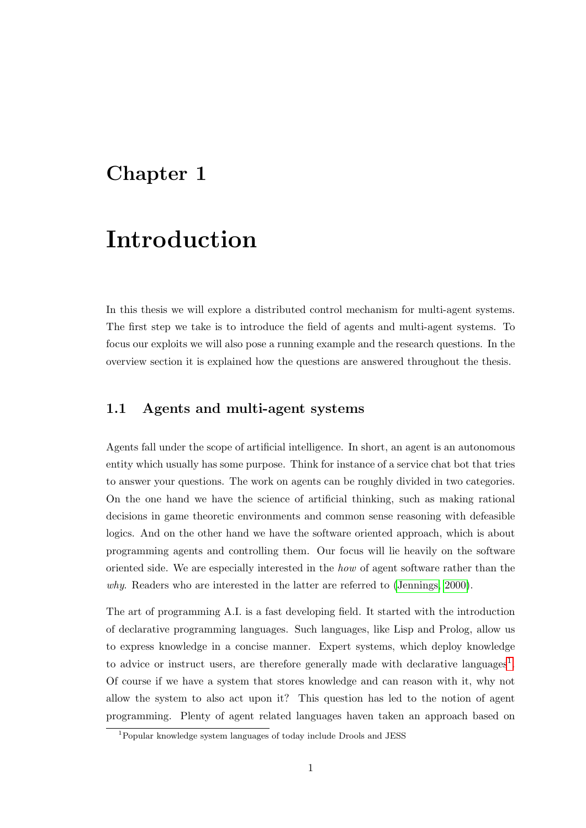## <span id="page-4-0"></span>Chapter 1

# Introduction

In this thesis we will explore a distributed control mechanism for multi-agent systems. The first step we take is to introduce the field of agents and multi-agent systems. To focus our exploits we will also pose a running example and the research questions. In the overview section it is explained how the questions are answered throughout the thesis.

## <span id="page-4-1"></span>1.1 Agents and multi-agent systems

Agents fall under the scope of artificial intelligence. In short, an agent is an autonomous entity which usually has some purpose. Think for instance of a service chat bot that tries to answer your questions. The work on agents can be roughly divided in two categories. On the one hand we have the science of artificial thinking, such as making rational decisions in game theoretic environments and common sense reasoning with defeasible logics. And on the other hand we have the software oriented approach, which is about programming agents and controlling them. Our focus will lie heavily on the software oriented side. We are especially interested in the how of agent software rather than the why. Readers who are interested in the latter are referred to [\(Jennings, 2000\)](#page-55-0).

The art of programming A.I. is a fast developing field. It started with the introduction of declarative programming languages. Such languages, like Lisp and Prolog, allow us to express knowledge in a concise manner. Expert systems, which deploy knowledge to advice or instruct users, are therefore generally made with declarative languages<sup>[1](#page-4-2)</sup>. Of course if we have a system that stores knowledge and can reason with it, why not allow the system to also act upon it? This question has led to the notion of agent programming. Plenty of agent related languages haven taken an approach based on

<span id="page-4-2"></span><sup>1</sup>Popular knowledge system languages of today include Drools and JESS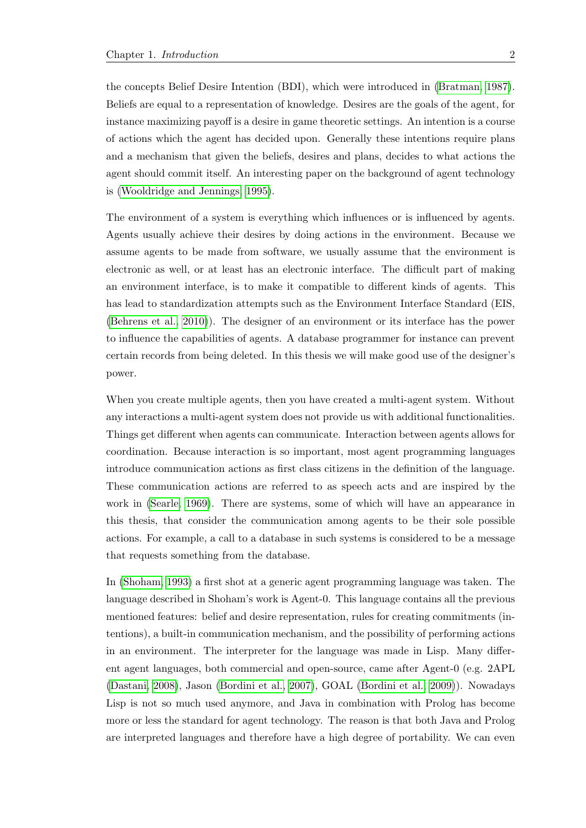the concepts Belief Desire Intention (BDI), which were introduced in [\(Bratman, 1987\)](#page-53-1). Beliefs are equal to a representation of knowledge. Desires are the goals of the agent, for instance maximizing payoff is a desire in game theoretic settings. An intention is a course of actions which the agent has decided upon. Generally these intentions require plans and a mechanism that given the beliefs, desires and plans, decides to what actions the agent should commit itself. An interesting paper on the background of agent technology is [\(Wooldridge and Jennings, 1995\)](#page-56-0).

The environment of a system is everything which influences or is influenced by agents. Agents usually achieve their desires by doing actions in the environment. Because we assume agents to be made from software, we usually assume that the environment is electronic as well, or at least has an electronic interface. The difficult part of making an environment interface, is to make it compatible to different kinds of agents. This has lead to standardization attempts such as the Environment Interface Standard (EIS, [\(Behrens et al., 2010\)](#page-53-2)). The designer of an environment or its interface has the power to influence the capabilities of agents. A database programmer for instance can prevent certain records from being deleted. In this thesis we will make good use of the designer's power.

When you create multiple agents, then you have created a multi-agent system. Without any interactions a multi-agent system does not provide us with additional functionalities. Things get different when agents can communicate. Interaction between agents allows for coordination. Because interaction is so important, most agent programming languages introduce communication actions as first class citizens in the definition of the language. These communication actions are referred to as speech acts and are inspired by the work in [\(Searle, 1969\)](#page-56-1). There are systems, some of which will have an appearance in this thesis, that consider the communication among agents to be their sole possible actions. For example, a call to a database in such systems is considered to be a message that requests something from the database.

In [\(Shoham, 1993\)](#page-56-2) a first shot at a generic agent programming language was taken. The language described in Shoham's work is Agent-0. This language contains all the previous mentioned features: belief and desire representation, rules for creating commitments (intentions), a built-in communication mechanism, and the possibility of performing actions in an environment. The interpreter for the language was made in Lisp. Many different agent languages, both commercial and open-source, came after Agent-0 (e.g. 2APL [\(Dastani, 2008\)](#page-54-0), Jason [\(Bordini et al., 2007\)](#page-53-3), GOAL [\(Bordini et al., 2009\)](#page-53-4)). Nowadays Lisp is not so much used anymore, and Java in combination with Prolog has become more or less the standard for agent technology. The reason is that both Java and Prolog are interpreted languages and therefore have a high degree of portability. We can even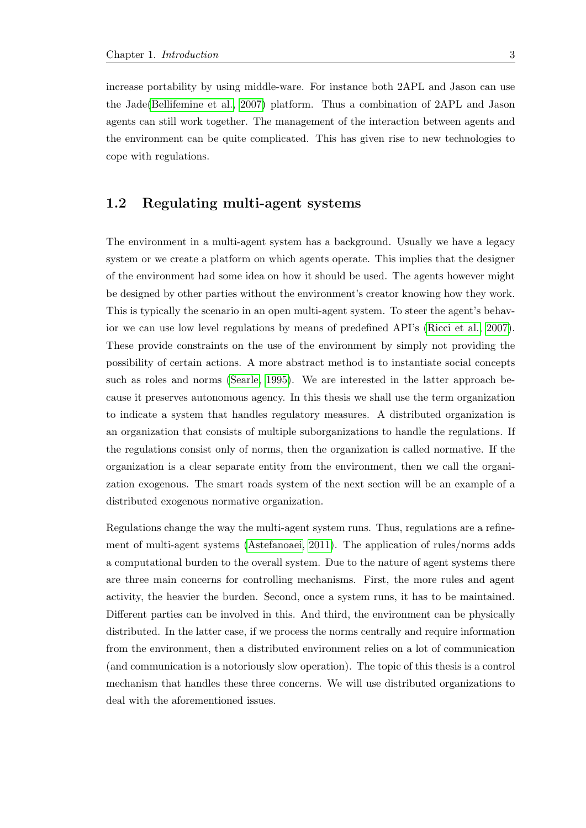increase portability by using middle-ware. For instance both 2APL and Jason can use the Jade[\(Bellifemine et al., 2007\)](#page-53-5) platform. Thus a combination of 2APL and Jason agents can still work together. The management of the interaction between agents and the environment can be quite complicated. This has given rise to new technologies to cope with regulations.

## <span id="page-6-0"></span>1.2 Regulating multi-agent systems

The environment in a multi-agent system has a background. Usually we have a legacy system or we create a platform on which agents operate. This implies that the designer of the environment had some idea on how it should be used. The agents however might be designed by other parties without the environment's creator knowing how they work. This is typically the scenario in an open multi-agent system. To steer the agent's behavior we can use low level regulations by means of predefined API's [\(Ricci et al., 2007\)](#page-56-3). These provide constraints on the use of the environment by simply not providing the possibility of certain actions. A more abstract method is to instantiate social concepts such as roles and norms [\(Searle, 1995\)](#page-56-4). We are interested in the latter approach because it preserves autonomous agency. In this thesis we shall use the term organization to indicate a system that handles regulatory measures. A distributed organization is an organization that consists of multiple suborganizations to handle the regulations. If the regulations consist only of norms, then the organization is called normative. If the organization is a clear separate entity from the environment, then we call the organization exogenous. The smart roads system of the next section will be an example of a distributed exogenous normative organization.

Regulations change the way the multi-agent system runs. Thus, regulations are a refinement of multi-agent systems [\(Astefanoaei, 2011\)](#page-53-6). The application of rules/norms adds a computational burden to the overall system. Due to the nature of agent systems there are three main concerns for controlling mechanisms. First, the more rules and agent activity, the heavier the burden. Second, once a system runs, it has to be maintained. Different parties can be involved in this. And third, the environment can be physically distributed. In the latter case, if we process the norms centrally and require information from the environment, then a distributed environment relies on a lot of communication (and communication is a notoriously slow operation). The topic of this thesis is a control mechanism that handles these three concerns. We will use distributed organizations to deal with the aforementioned issues.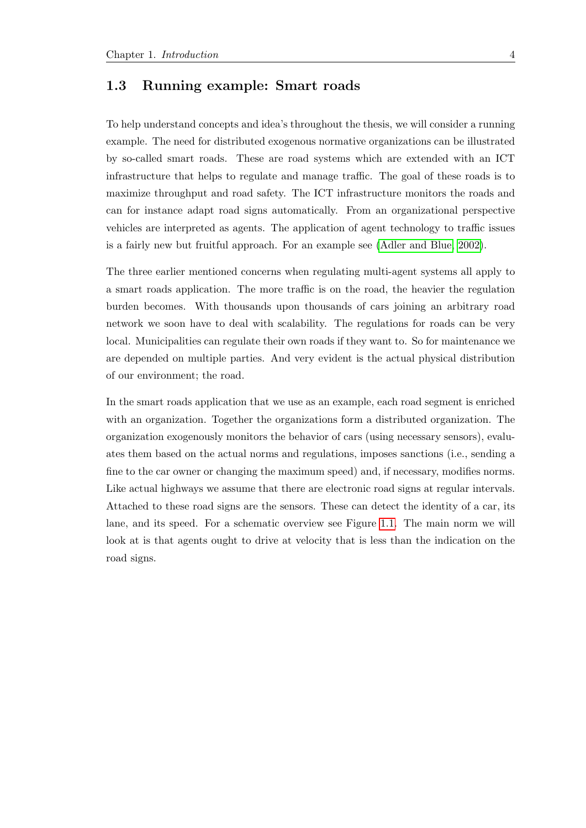## <span id="page-7-0"></span>1.3 Running example: Smart roads

To help understand concepts and idea's throughout the thesis, we will consider a running example. The need for distributed exogenous normative organizations can be illustrated by so-called smart roads. These are road systems which are extended with an ICT infrastructure that helps to regulate and manage traffic. The goal of these roads is to maximize throughput and road safety. The ICT infrastructure monitors the roads and can for instance adapt road signs automatically. From an organizational perspective vehicles are interpreted as agents. The application of agent technology to traffic issues is a fairly new but fruitful approach. For an example see [\(Adler and Blue, 2002\)](#page-53-7).

The three earlier mentioned concerns when regulating multi-agent systems all apply to a smart roads application. The more traffic is on the road, the heavier the regulation burden becomes. With thousands upon thousands of cars joining an arbitrary road network we soon have to deal with scalability. The regulations for roads can be very local. Municipalities can regulate their own roads if they want to. So for maintenance we are depended on multiple parties. And very evident is the actual physical distribution of our environment; the road.

In the smart roads application that we use as an example, each road segment is enriched with an organization. Together the organizations form a distributed organization. The organization exogenously monitors the behavior of cars (using necessary sensors), evaluates them based on the actual norms and regulations, imposes sanctions (i.e., sending a fine to the car owner or changing the maximum speed) and, if necessary, modifies norms. Like actual highways we assume that there are electronic road signs at regular intervals. Attached to these road signs are the sensors. These can detect the identity of a car, its lane, and its speed. For a schematic overview see Figure [1.1.](#page-8-1) The main norm we will look at is that agents ought to drive at velocity that is less than the indication on the road signs.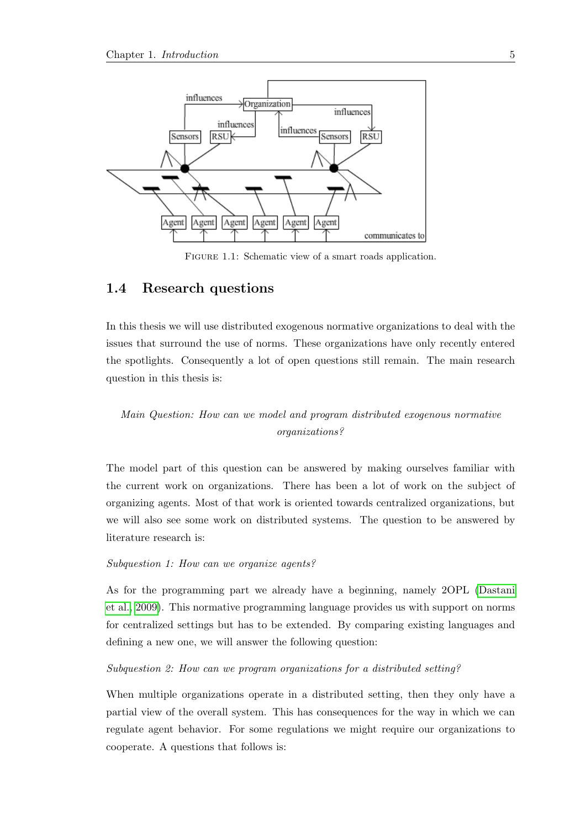<span id="page-8-1"></span>

FIGURE 1.1: Schematic view of a smart roads application.

## <span id="page-8-0"></span>1.4 Research questions

In this thesis we will use distributed exogenous normative organizations to deal with the issues that surround the use of norms. These organizations have only recently entered the spotlights. Consequently a lot of open questions still remain. The main research question in this thesis is:

## Main Question: How can we model and program distributed exogenous normative organizations?

The model part of this question can be answered by making ourselves familiar with the current work on organizations. There has been a lot of work on the subject of organizing agents. Most of that work is oriented towards centralized organizations, but we will also see some work on distributed systems. The question to be answered by literature research is:

#### Subquestion 1: How can we organize agents?

As for the programming part we already have a beginning, namely 2OPL [\(Dastani](#page-54-1) [et al., 2009\)](#page-54-1). This normative programming language provides us with support on norms for centralized settings but has to be extended. By comparing existing languages and defining a new one, we will answer the following question:

#### Subquestion 2: How can we program organizations for a distributed setting?

When multiple organizations operate in a distributed setting, then they only have a partial view of the overall system. This has consequences for the way in which we can regulate agent behavior. For some regulations we might require our organizations to cooperate. A questions that follows is: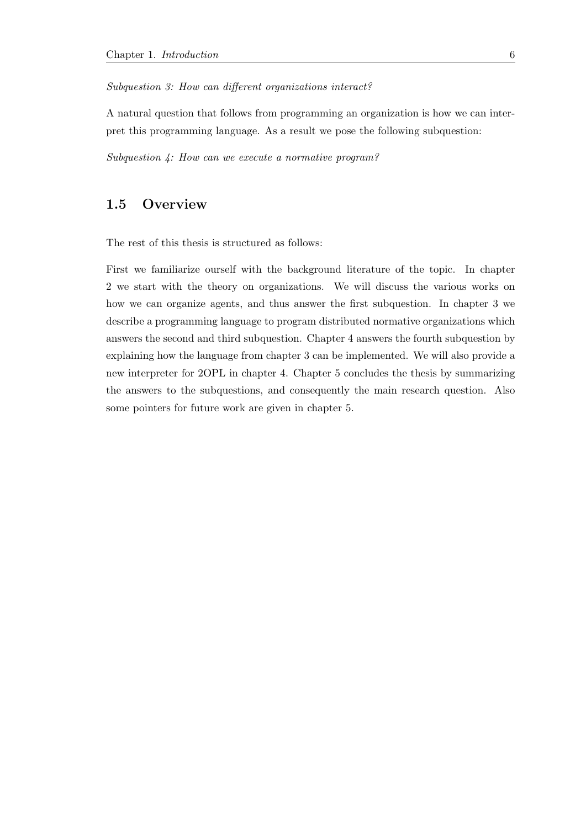#### Subquestion 3: How can different organizations interact?

A natural question that follows from programming an organization is how we can interpret this programming language. As a result we pose the following subquestion:

Subquestion 4: How can we execute a normative program?

## <span id="page-9-0"></span>1.5 Overview

The rest of this thesis is structured as follows:

First we familiarize ourself with the background literature of the topic. In chapter 2 we start with the theory on organizations. We will discuss the various works on how we can organize agents, and thus answer the first subquestion. In chapter 3 we describe a programming language to program distributed normative organizations which answers the second and third subquestion. Chapter 4 answers the fourth subquestion by explaining how the language from chapter 3 can be implemented. We will also provide a new interpreter for 2OPL in chapter 4. Chapter 5 concludes the thesis by summarizing the answers to the subquestions, and consequently the main research question. Also some pointers for future work are given in chapter 5.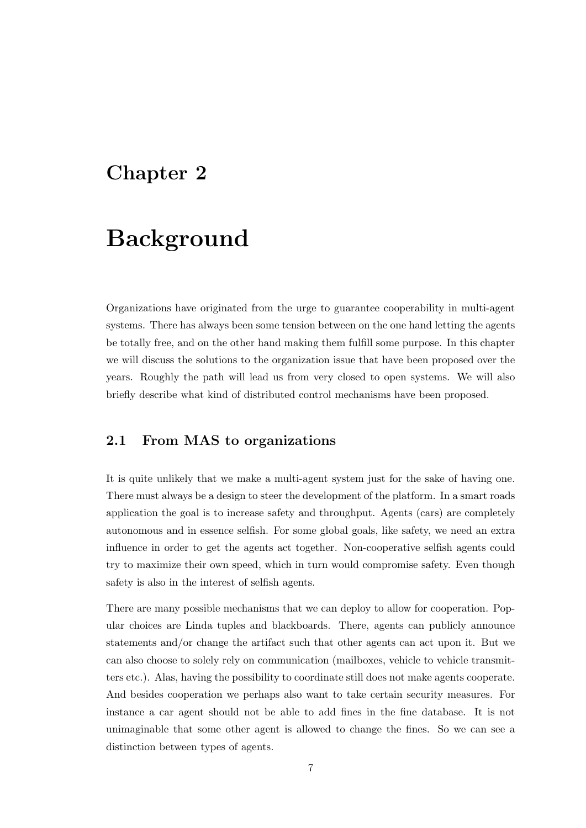## <span id="page-10-0"></span>Chapter 2

# Background

Organizations have originated from the urge to guarantee cooperability in multi-agent systems. There has always been some tension between on the one hand letting the agents be totally free, and on the other hand making them fulfill some purpose. In this chapter we will discuss the solutions to the organization issue that have been proposed over the years. Roughly the path will lead us from very closed to open systems. We will also briefly describe what kind of distributed control mechanisms have been proposed.

## <span id="page-10-1"></span>2.1 From MAS to organizations

It is quite unlikely that we make a multi-agent system just for the sake of having one. There must always be a design to steer the development of the platform. In a smart roads application the goal is to increase safety and throughput. Agents (cars) are completely autonomous and in essence selfish. For some global goals, like safety, we need an extra influence in order to get the agents act together. Non-cooperative selfish agents could try to maximize their own speed, which in turn would compromise safety. Even though safety is also in the interest of selfish agents.

There are many possible mechanisms that we can deploy to allow for cooperation. Popular choices are Linda tuples and blackboards. There, agents can publicly announce statements and/or change the artifact such that other agents can act upon it. But we can also choose to solely rely on communication (mailboxes, vehicle to vehicle transmitters etc.). Alas, having the possibility to coordinate still does not make agents cooperate. And besides cooperation we perhaps also want to take certain security measures. For instance a car agent should not be able to add fines in the fine database. It is not unimaginable that some other agent is allowed to change the fines. So we can see a distinction between types of agents.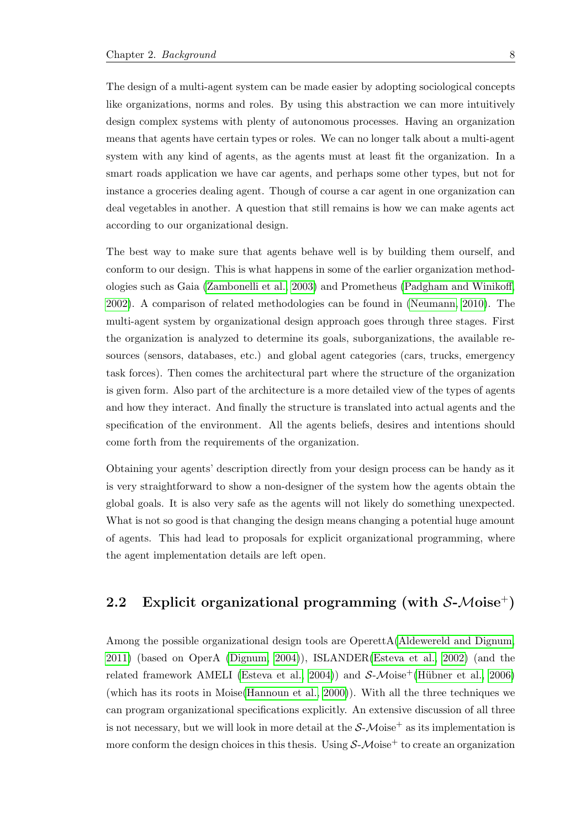The design of a multi-agent system can be made easier by adopting sociological concepts like organizations, norms and roles. By using this abstraction we can more intuitively design complex systems with plenty of autonomous processes. Having an organization means that agents have certain types or roles. We can no longer talk about a multi-agent system with any kind of agents, as the agents must at least fit the organization. In a smart roads application we have car agents, and perhaps some other types, but not for instance a groceries dealing agent. Though of course a car agent in one organization can deal vegetables in another. A question that still remains is how we can make agents act according to our organizational design.

The best way to make sure that agents behave well is by building them ourself, and conform to our design. This is what happens in some of the earlier organization methodologies such as Gaia [\(Zambonelli et al., 2003\)](#page-56-5) and Prometheus [\(Padgham and Winikoff,](#page-55-1) [2002\)](#page-55-1). A comparison of related methodologies can be found in [\(Neumann, 2010\)](#page-55-2). The multi-agent system by organizational design approach goes through three stages. First the organization is analyzed to determine its goals, suborganizations, the available resources (sensors, databases, etc.) and global agent categories (cars, trucks, emergency task forces). Then comes the architectural part where the structure of the organization is given form. Also part of the architecture is a more detailed view of the types of agents and how they interact. And finally the structure is translated into actual agents and the specification of the environment. All the agents beliefs, desires and intentions should come forth from the requirements of the organization.

Obtaining your agents' description directly from your design process can be handy as it is very straightforward to show a non-designer of the system how the agents obtain the global goals. It is also very safe as the agents will not likely do something unexpected. What is not so good is that changing the design means changing a potential huge amount of agents. This had lead to proposals for explicit organizational programming, where the agent implementation details are left open.

## <span id="page-11-0"></span>2.2 Explicit organizational programming (with  $S-Moise^+$ )

Among the possible organizational design tools are OperettA[\(Aldewereld and Dignum,](#page-53-8) [2011\)](#page-53-8) (based on OperA [\(Dignum, 2004\)](#page-54-2)), ISLANDER[\(Esteva et al., 2002\)](#page-54-3) (and the related framework AMELI [\(Esteva et al., 2004\)](#page-54-4)) and  $S-Moise^+(Hübner et al., 2006)$ (which has its roots in Moise[\(Hannoun et al., 2000\)](#page-54-5)). With all the three techniques we can program organizational specifications explicitly. An extensive discussion of all three is not necessary, but we will look in more detail at the  $S-Moise^+$  as its implementation is more conform the design choices in this thesis. Using  $S-Moise^+$  to create an organization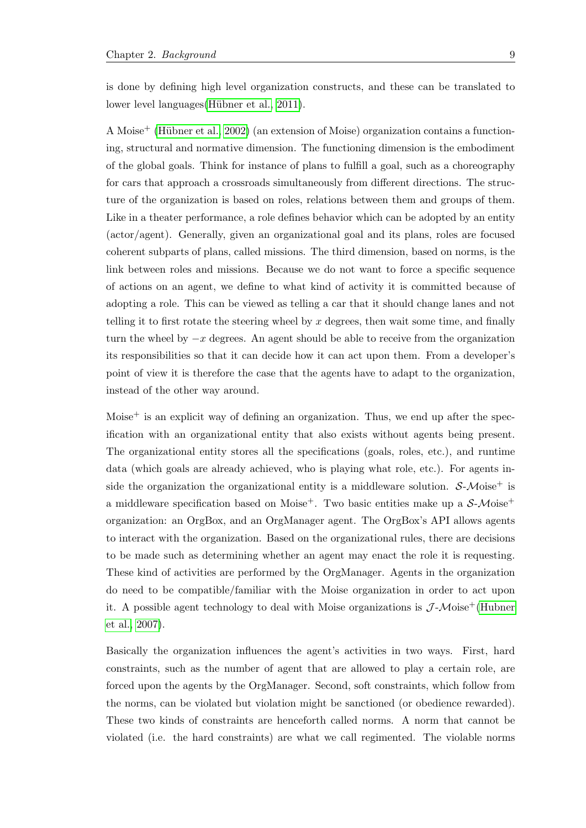is done by defining high level organization constructs, and these can be translated to lower level languages (Hübner et al., 2011).

A Moise<sup>+</sup> (Hübner et al., 2002) (an extension of Moise) organization contains a functioning, structural and normative dimension. The functioning dimension is the embodiment of the global goals. Think for instance of plans to fulfill a goal, such as a choreography for cars that approach a crossroads simultaneously from different directions. The structure of the organization is based on roles, relations between them and groups of them. Like in a theater performance, a role defines behavior which can be adopted by an entity (actor/agent). Generally, given an organizational goal and its plans, roles are focused coherent subparts of plans, called missions. The third dimension, based on norms, is the link between roles and missions. Because we do not want to force a specific sequence of actions on an agent, we define to what kind of activity it is committed because of adopting a role. This can be viewed as telling a car that it should change lanes and not telling it to first rotate the steering wheel by x degrees, then wait some time, and finally turn the wheel by  $-x$  degrees. An agent should be able to receive from the organization its responsibilities so that it can decide how it can act upon them. From a developer's point of view it is therefore the case that the agents have to adapt to the organization, instead of the other way around.

Moise<sup> $+$ </sup> is an explicit way of defining an organization. Thus, we end up after the specification with an organizational entity that also exists without agents being present. The organizational entity stores all the specifications (goals, roles, etc.), and runtime data (which goals are already achieved, who is playing what role, etc.). For agents inside the organization the organizational entity is a middleware solution.  $S-Moise^+$  is a middleware specification based on Moise<sup>+</sup>. Two basic entities make up a  $S-Moise^+$ organization: an OrgBox, and an OrgManager agent. The OrgBox's API allows agents to interact with the organization. Based on the organizational rules, there are decisions to be made such as determining whether an agent may enact the role it is requesting. These kind of activities are performed by the OrgManager. Agents in the organization do need to be compatible/familiar with the Moise organization in order to act upon it. A possible agent technology to deal with Moise organizations is  $\mathcal{J}\text{-}\mathcal{M}$ oise<sup>+</sup>[\(Hubner](#page-55-6) [et al., 2007\)](#page-55-6).

Basically the organization influences the agent's activities in two ways. First, hard constraints, such as the number of agent that are allowed to play a certain role, are forced upon the agents by the OrgManager. Second, soft constraints, which follow from the norms, can be violated but violation might be sanctioned (or obedience rewarded). These two kinds of constraints are henceforth called norms. A norm that cannot be violated (i.e. the hard constraints) are what we call regimented. The violable norms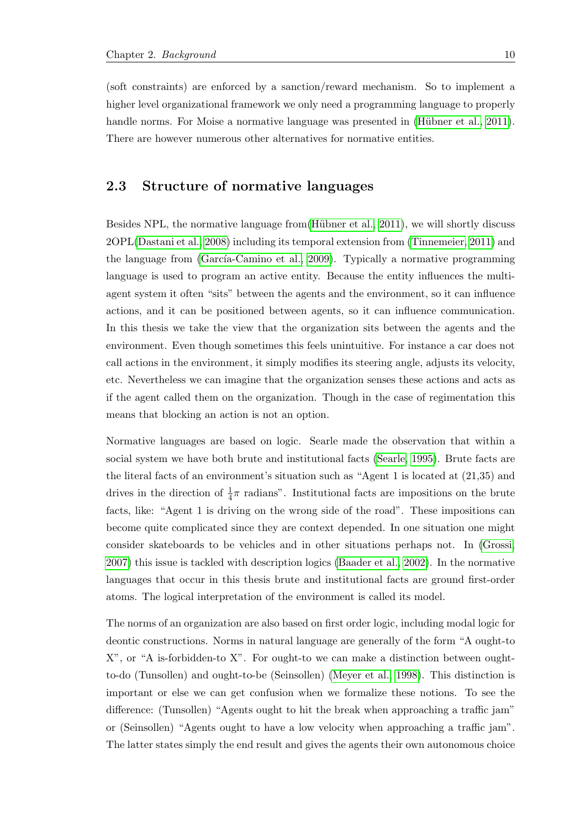(soft constraints) are enforced by a sanction/reward mechanism. So to implement a higher level organizational framework we only need a programming language to properly handle norms. For Moise a normative language was presented in (Hübner et al., 2011). There are however numerous other alternatives for normative entities.

### <span id="page-13-0"></span>2.3 Structure of normative languages

Besides NPL, the normative language from (Hübner et al., 2011), we will shortly discuss 2OPL[\(Dastani et al., 2008\)](#page-54-6) including its temporal extension from [\(Tinnemeier, 2011\)](#page-56-6) and the language from (García-Camino et al., 2009). Typically a normative programming language is used to program an active entity. Because the entity influences the multiagent system it often "sits" between the agents and the environment, so it can influence actions, and it can be positioned between agents, so it can influence communication. In this thesis we take the view that the organization sits between the agents and the environment. Even though sometimes this feels unintuitive. For instance a car does not call actions in the environment, it simply modifies its steering angle, adjusts its velocity, etc. Nevertheless we can imagine that the organization senses these actions and acts as if the agent called them on the organization. Though in the case of regimentation this means that blocking an action is not an option.

Normative languages are based on logic. Searle made the observation that within a social system we have both brute and institutional facts [\(Searle, 1995\)](#page-56-4). Brute facts are the literal facts of an environment's situation such as "Agent 1 is located at (21,35) and drives in the direction of  $\frac{1}{4}\pi$  radians". Institutional facts are impositions on the brute facts, like: "Agent 1 is driving on the wrong side of the road". These impositions can become quite complicated since they are context depended. In one situation one might consider skateboards to be vehicles and in other situations perhaps not. In [\(Grossi,](#page-54-8) [2007\)](#page-54-8) this issue is tackled with description logics [\(Baader et al., 2002\)](#page-53-9). In the normative languages that occur in this thesis brute and institutional facts are ground first-order atoms. The logical interpretation of the environment is called its model.

The norms of an organization are also based on first order logic, including modal logic for deontic constructions. Norms in natural language are generally of the form "A ought-to X", or "A is-forbidden-to X". For ought-to we can make a distinction between oughtto-do (Tunsollen) and ought-to-be (Seinsollen) [\(Meyer et al., 1998\)](#page-55-7). This distinction is important or else we can get confusion when we formalize these notions. To see the difference: (Tunsollen) "Agents ought to hit the break when approaching a traffic jam" or (Seinsollen) "Agents ought to have a low velocity when approaching a traffic jam". The latter states simply the end result and gives the agents their own autonomous choice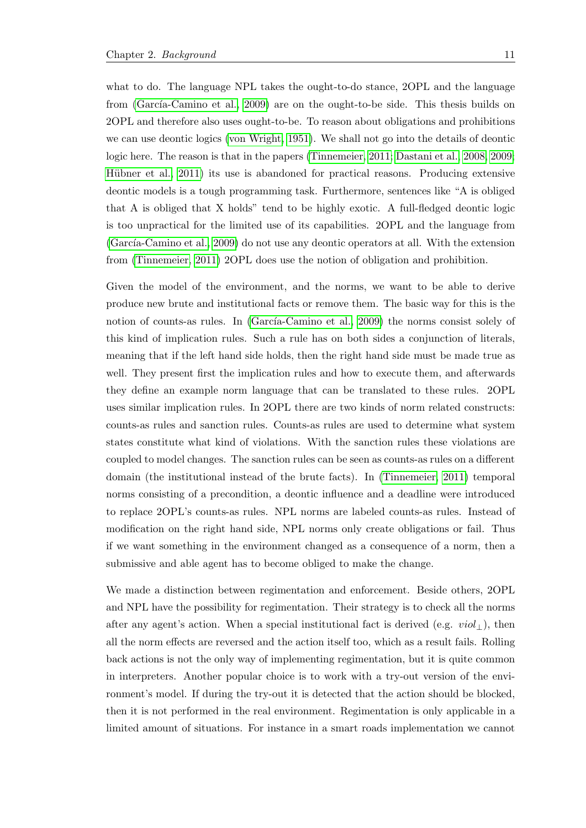what to do. The language NPL takes the ought-to-do stance, 2OPL and the language from (García-Camino et al., 2009) are on the ought-to-be side. This thesis builds on 2OPL and therefore also uses ought-to-be. To reason about obligations and prohibitions we can use deontic logics [\(von Wright, 1951\)](#page-56-7). We shall not go into the details of deontic logic here. The reason is that in the papers [\(Tinnemeier, 2011;](#page-56-6) [Dastani et al., 2008,](#page-54-6) [2009;](#page-54-1) Hübner et al., 2011) its use is abandoned for practical reasons. Producing extensive deontic models is a tough programming task. Furthermore, sentences like "A is obliged that A is obliged that X holds" tend to be highly exotic. A full-fledged deontic logic is too unpractical for the limited use of its capabilities. 2OPL and the language from  $(García-Camino et al., 2009)$  do not use any deontic operators at all. With the extension from [\(Tinnemeier, 2011\)](#page-56-6) 2OPL does use the notion of obligation and prohibition.

Given the model of the environment, and the norms, we want to be able to derive produce new brute and institutional facts or remove them. The basic way for this is the notion of counts-as rules. In (García-Camino et al., 2009) the norms consist solely of this kind of implication rules. Such a rule has on both sides a conjunction of literals, meaning that if the left hand side holds, then the right hand side must be made true as well. They present first the implication rules and how to execute them, and afterwards they define an example norm language that can be translated to these rules. 2OPL uses similar implication rules. In 2OPL there are two kinds of norm related constructs: counts-as rules and sanction rules. Counts-as rules are used to determine what system states constitute what kind of violations. With the sanction rules these violations are coupled to model changes. The sanction rules can be seen as counts-as rules on a different domain (the institutional instead of the brute facts). In [\(Tinnemeier, 2011\)](#page-56-6) temporal norms consisting of a precondition, a deontic influence and a deadline were introduced to replace 2OPL's counts-as rules. NPL norms are labeled counts-as rules. Instead of modification on the right hand side, NPL norms only create obligations or fail. Thus if we want something in the environment changed as a consequence of a norm, then a submissive and able agent has to become obliged to make the change.

We made a distinction between regimentation and enforcement. Beside others, 2OPL and NPL have the possibility for regimentation. Their strategy is to check all the norms after any agent's action. When a special institutional fact is derived (e.g.  $viol_{\perp}$ ), then all the norm effects are reversed and the action itself too, which as a result fails. Rolling back actions is not the only way of implementing regimentation, but it is quite common in interpreters. Another popular choice is to work with a try-out version of the environment's model. If during the try-out it is detected that the action should be blocked, then it is not performed in the real environment. Regimentation is only applicable in a limited amount of situations. For instance in a smart roads implementation we cannot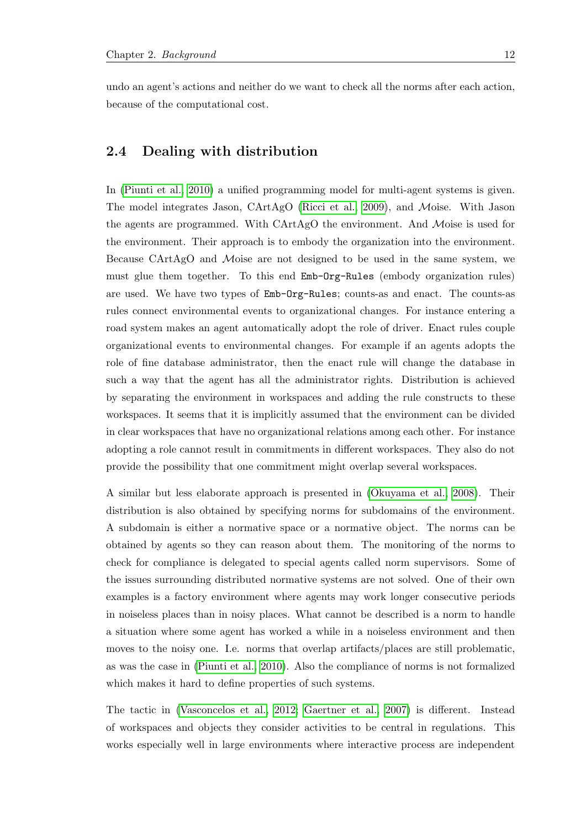undo an agent's actions and neither do we want to check all the norms after each action, because of the computational cost.

## <span id="page-15-0"></span>2.4 Dealing with distribution

In [\(Piunti et al., 2010\)](#page-56-8) a unified programming model for multi-agent systems is given. The model integrates Jason, CArtAgO [\(Ricci et al., 2009\)](#page-56-9), and Moise. With Jason the agents are programmed. With CArtAgO the environment. And Moise is used for the environment. Their approach is to embody the organization into the environment. Because CArtAgO and Moise are not designed to be used in the same system, we must glue them together. To this end Emb-Org-Rules (embody organization rules) are used. We have two types of Emb-Org-Rules; counts-as and enact. The counts-as rules connect environmental events to organizational changes. For instance entering a road system makes an agent automatically adopt the role of driver. Enact rules couple organizational events to environmental changes. For example if an agents adopts the role of fine database administrator, then the enact rule will change the database in such a way that the agent has all the administrator rights. Distribution is achieved by separating the environment in workspaces and adding the rule constructs to these workspaces. It seems that it is implicitly assumed that the environment can be divided in clear workspaces that have no organizational relations among each other. For instance adopting a role cannot result in commitments in different workspaces. They also do not provide the possibility that one commitment might overlap several workspaces.

A similar but less elaborate approach is presented in [\(Okuyama et al., 2008\)](#page-55-8). Their distribution is also obtained by specifying norms for subdomains of the environment. A subdomain is either a normative space or a normative object. The norms can be obtained by agents so they can reason about them. The monitoring of the norms to check for compliance is delegated to special agents called norm supervisors. Some of the issues surrounding distributed normative systems are not solved. One of their own examples is a factory environment where agents may work longer consecutive periods in noiseless places than in noisy places. What cannot be described is a norm to handle a situation where some agent has worked a while in a noiseless environment and then moves to the noisy one. I.e. norms that overlap artifacts/places are still problematic, as was the case in [\(Piunti et al., 2010\)](#page-56-8). Also the compliance of norms is not formalized which makes it hard to define properties of such systems.

The tactic in [\(Vasconcelos et al., 2012;](#page-56-10) [Gaertner et al., 2007\)](#page-54-9) is different. Instead of workspaces and objects they consider activities to be central in regulations. This works especially well in large environments where interactive process are independent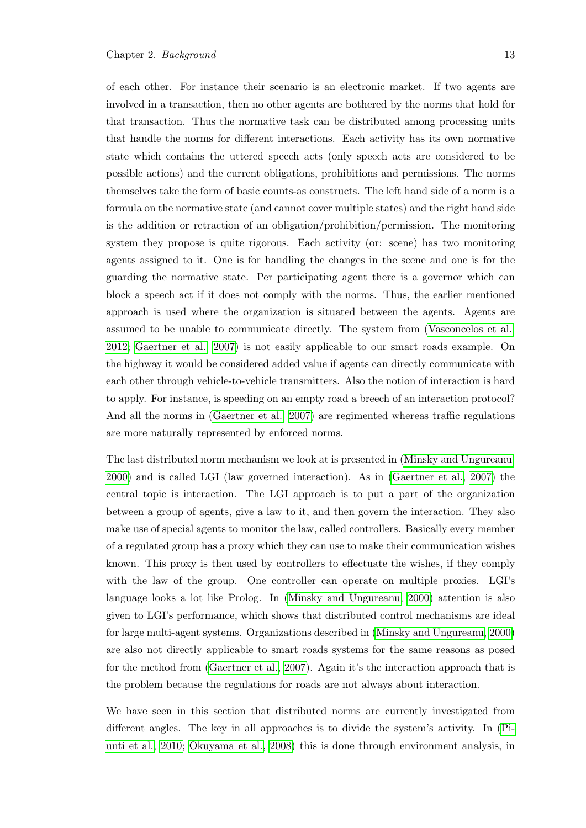of each other. For instance their scenario is an electronic market. If two agents are involved in a transaction, then no other agents are bothered by the norms that hold for that transaction. Thus the normative task can be distributed among processing units that handle the norms for different interactions. Each activity has its own normative state which contains the uttered speech acts (only speech acts are considered to be possible actions) and the current obligations, prohibitions and permissions. The norms themselves take the form of basic counts-as constructs. The left hand side of a norm is a formula on the normative state (and cannot cover multiple states) and the right hand side is the addition or retraction of an obligation/prohibition/permission. The monitoring system they propose is quite rigorous. Each activity (or: scene) has two monitoring agents assigned to it. One is for handling the changes in the scene and one is for the guarding the normative state. Per participating agent there is a governor which can block a speech act if it does not comply with the norms. Thus, the earlier mentioned approach is used where the organization is situated between the agents. Agents are assumed to be unable to communicate directly. The system from [\(Vasconcelos et al.,](#page-56-10) [2012;](#page-56-10) [Gaertner et al., 2007\)](#page-54-9) is not easily applicable to our smart roads example. On the highway it would be considered added value if agents can directly communicate with each other through vehicle-to-vehicle transmitters. Also the notion of interaction is hard to apply. For instance, is speeding on an empty road a breech of an interaction protocol? And all the norms in [\(Gaertner et al., 2007\)](#page-54-9) are regimented whereas traffic regulations are more naturally represented by enforced norms.

The last distributed norm mechanism we look at is presented in [\(Minsky and Ungureanu,](#page-55-9) [2000\)](#page-55-9) and is called LGI (law governed interaction). As in [\(Gaertner et al., 2007\)](#page-54-9) the central topic is interaction. The LGI approach is to put a part of the organization between a group of agents, give a law to it, and then govern the interaction. They also make use of special agents to monitor the law, called controllers. Basically every member of a regulated group has a proxy which they can use to make their communication wishes known. This proxy is then used by controllers to effectuate the wishes, if they comply with the law of the group. One controller can operate on multiple proxies. LGI's language looks a lot like Prolog. In [\(Minsky and Ungureanu, 2000\)](#page-55-9) attention is also given to LGI's performance, which shows that distributed control mechanisms are ideal for large multi-agent systems. Organizations described in [\(Minsky and Ungureanu, 2000\)](#page-55-9) are also not directly applicable to smart roads systems for the same reasons as posed for the method from [\(Gaertner et al., 2007\)](#page-54-9). Again it's the interaction approach that is the problem because the regulations for roads are not always about interaction.

We have seen in this section that distributed norms are currently investigated from different angles. The key in all approaches is to divide the system's activity. In [\(Pi](#page-56-8)[unti et al., 2010;](#page-56-8) [Okuyama et al., 2008\)](#page-55-8) this is done through environment analysis, in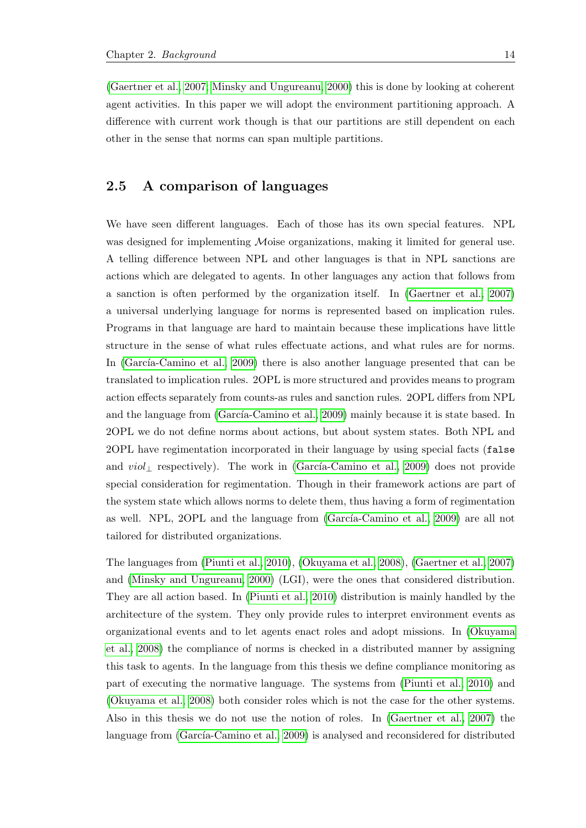[\(Gaertner et al., 2007;](#page-54-9) [Minsky and Ungureanu, 2000\)](#page-55-9) this is done by looking at coherent agent activities. In this paper we will adopt the environment partitioning approach. A difference with current work though is that our partitions are still dependent on each other in the sense that norms can span multiple partitions.

## <span id="page-17-0"></span>2.5 A comparison of languages

We have seen different languages. Each of those has its own special features. NPL was designed for implementing Moise organizations, making it limited for general use. A telling difference between NPL and other languages is that in NPL sanctions are actions which are delegated to agents. In other languages any action that follows from a sanction is often performed by the organization itself. In [\(Gaertner et al., 2007\)](#page-54-9) a universal underlying language for norms is represented based on implication rules. Programs in that language are hard to maintain because these implications have little structure in the sense of what rules effectuate actions, and what rules are for norms. In (García-Camino et al., 2009) there is also another language presented that can be translated to implication rules. 2OPL is more structured and provides means to program action effects separately from counts-as rules and sanction rules. 2OPL differs from NPL and the language from (García-Camino et al., 2009) mainly because it is state based. In 2OPL we do not define norms about actions, but about system states. Both NPL and 2OPL have regimentation incorporated in their language by using special facts (false and  $viol_{\perp}$  respectively). The work in (García-Camino et al., 2009) does not provide special consideration for regimentation. Though in their framework actions are part of the system state which allows norms to delete them, thus having a form of regimentation as well. NPL, 2OPL and the language from (García-Camino et al., 2009) are all not tailored for distributed organizations.

The languages from [\(Piunti et al., 2010\)](#page-56-8), [\(Okuyama et al., 2008\)](#page-55-8), [\(Gaertner et al., 2007\)](#page-54-9) and [\(Minsky and Ungureanu, 2000\)](#page-55-9) (LGI), were the ones that considered distribution. They are all action based. In [\(Piunti et al., 2010\)](#page-56-8) distribution is mainly handled by the architecture of the system. They only provide rules to interpret environment events as organizational events and to let agents enact roles and adopt missions. In [\(Okuyama](#page-55-8) [et al., 2008\)](#page-55-8) the compliance of norms is checked in a distributed manner by assigning this task to agents. In the language from this thesis we define compliance monitoring as part of executing the normative language. The systems from [\(Piunti et al., 2010\)](#page-56-8) and [\(Okuyama et al., 2008\)](#page-55-8) both consider roles which is not the case for the other systems. Also in this thesis we do not use the notion of roles. In [\(Gaertner et al., 2007\)](#page-54-9) the language from (García-Camino et al., 2009) is analysed and reconsidered for distributed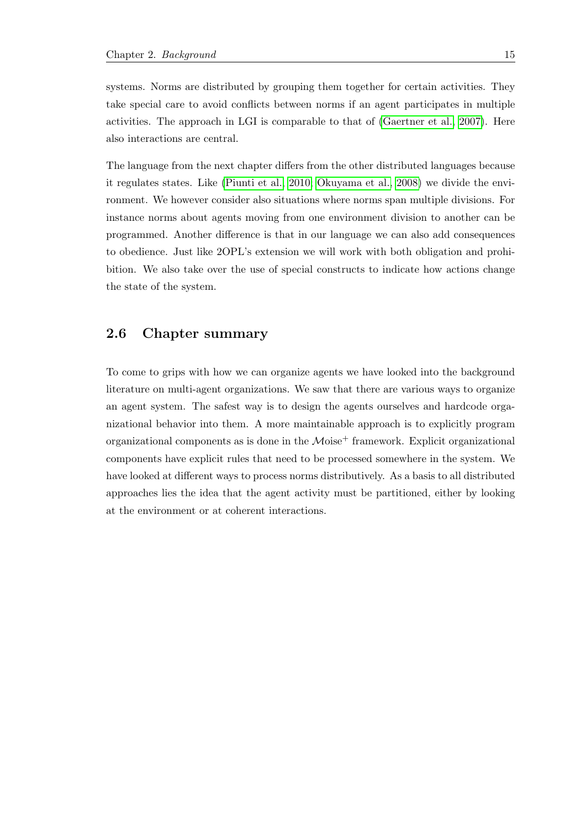systems. Norms are distributed by grouping them together for certain activities. They take special care to avoid conflicts between norms if an agent participates in multiple activities. The approach in LGI is comparable to that of [\(Gaertner et al., 2007\)](#page-54-9). Here also interactions are central.

The language from the next chapter differs from the other distributed languages because it regulates states. Like [\(Piunti et al., 2010;](#page-56-8) [Okuyama et al., 2008\)](#page-55-8) we divide the environment. We however consider also situations where norms span multiple divisions. For instance norms about agents moving from one environment division to another can be programmed. Another difference is that in our language we can also add consequences to obedience. Just like 2OPL's extension we will work with both obligation and prohibition. We also take over the use of special constructs to indicate how actions change the state of the system.

## <span id="page-18-0"></span>2.6 Chapter summary

To come to grips with how we can organize agents we have looked into the background literature on multi-agent organizations. We saw that there are various ways to organize an agent system. The safest way is to design the agents ourselves and hardcode organizational behavior into them. A more maintainable approach is to explicitly program organizational components as is done in the  $\mathcal{M}$ oise<sup>+</sup> framework. Explicit organizational components have explicit rules that need to be processed somewhere in the system. We have looked at different ways to process norms distributively. As a basis to all distributed approaches lies the idea that the agent activity must be partitioned, either by looking at the environment or at coherent interactions.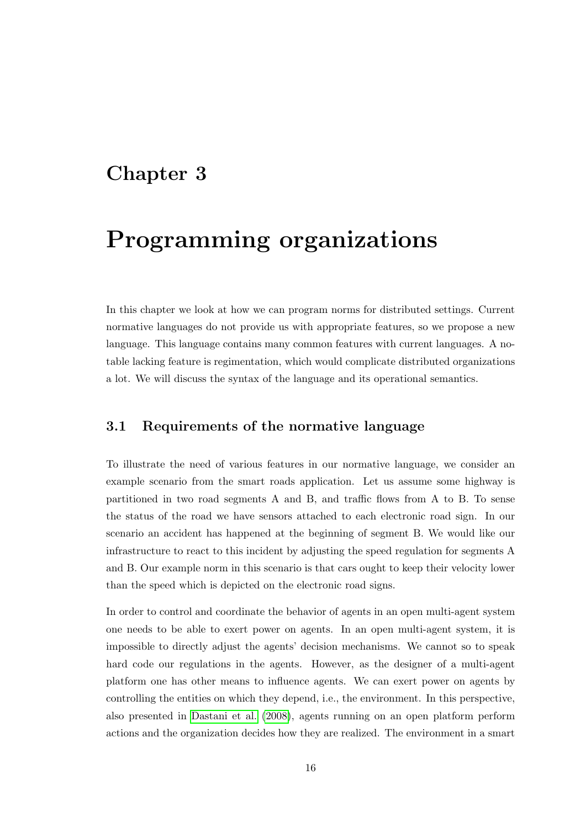## <span id="page-19-0"></span>Chapter 3

# Programming organizations

In this chapter we look at how we can program norms for distributed settings. Current normative languages do not provide us with appropriate features, so we propose a new language. This language contains many common features with current languages. A notable lacking feature is regimentation, which would complicate distributed organizations a lot. We will discuss the syntax of the language and its operational semantics.

## <span id="page-19-1"></span>3.1 Requirements of the normative language

To illustrate the need of various features in our normative language, we consider an example scenario from the smart roads application. Let us assume some highway is partitioned in two road segments A and B, and traffic flows from A to B. To sense the status of the road we have sensors attached to each electronic road sign. In our scenario an accident has happened at the beginning of segment B. We would like our infrastructure to react to this incident by adjusting the speed regulation for segments A and B. Our example norm in this scenario is that cars ought to keep their velocity lower than the speed which is depicted on the electronic road signs.

In order to control and coordinate the behavior of agents in an open multi-agent system one needs to be able to exert power on agents. In an open multi-agent system, it is impossible to directly adjust the agents' decision mechanisms. We cannot so to speak hard code our regulations in the agents. However, as the designer of a multi-agent platform one has other means to influence agents. We can exert power on agents by controlling the entities on which they depend, i.e., the environment. In this perspective, also presented in [Dastani et al.](#page-54-6) [\(2008\)](#page-54-6), agents running on an open platform perform actions and the organization decides how they are realized. The environment in a smart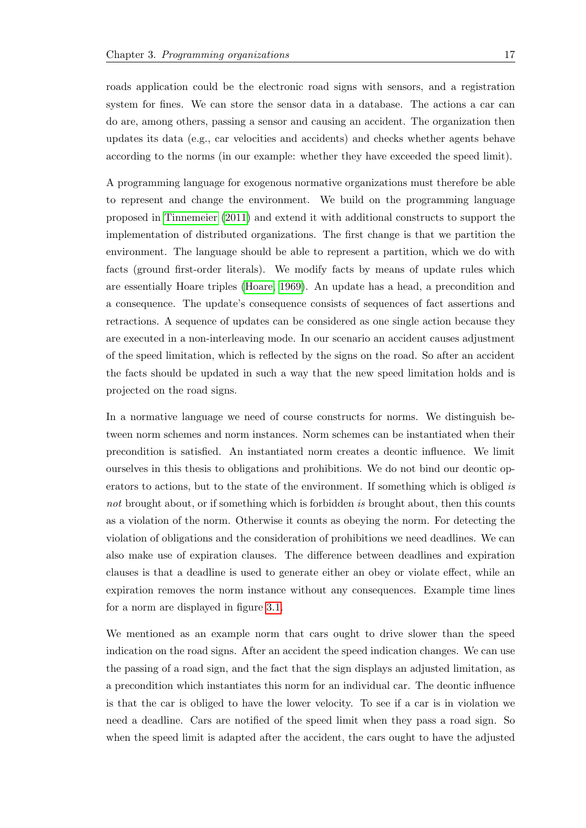roads application could be the electronic road signs with sensors, and a registration system for fines. We can store the sensor data in a database. The actions a car can do are, among others, passing a sensor and causing an accident. The organization then updates its data (e.g., car velocities and accidents) and checks whether agents behave according to the norms (in our example: whether they have exceeded the speed limit).

A programming language for exogenous normative organizations must therefore be able to represent and change the environment. We build on the programming language proposed in [Tinnemeier](#page-56-6) [\(2011\)](#page-56-6) and extend it with additional constructs to support the implementation of distributed organizations. The first change is that we partition the environment. The language should be able to represent a partition, which we do with facts (ground first-order literals). We modify facts by means of update rules which are essentially Hoare triples [\(Hoare, 1969\)](#page-54-10). An update has a head, a precondition and a consequence. The update's consequence consists of sequences of fact assertions and retractions. A sequence of updates can be considered as one single action because they are executed in a non-interleaving mode. In our scenario an accident causes adjustment of the speed limitation, which is reflected by the signs on the road. So after an accident the facts should be updated in such a way that the new speed limitation holds and is projected on the road signs.

In a normative language we need of course constructs for norms. We distinguish between norm schemes and norm instances. Norm schemes can be instantiated when their precondition is satisfied. An instantiated norm creates a deontic influence. We limit ourselves in this thesis to obligations and prohibitions. We do not bind our deontic operators to actions, but to the state of the environment. If something which is obliged is not brought about, or if something which is forbidden is brought about, then this counts as a violation of the norm. Otherwise it counts as obeying the norm. For detecting the violation of obligations and the consideration of prohibitions we need deadlines. We can also make use of expiration clauses. The difference between deadlines and expiration clauses is that a deadline is used to generate either an obey or violate effect, while an expiration removes the norm instance without any consequences. Example time lines for a norm are displayed in figure [3.1.](#page-21-0)

We mentioned as an example norm that cars ought to drive slower than the speed indication on the road signs. After an accident the speed indication changes. We can use the passing of a road sign, and the fact that the sign displays an adjusted limitation, as a precondition which instantiates this norm for an individual car. The deontic influence is that the car is obliged to have the lower velocity. To see if a car is in violation we need a deadline. Cars are notified of the speed limit when they pass a road sign. So when the speed limit is adapted after the accident, the cars ought to have the adjusted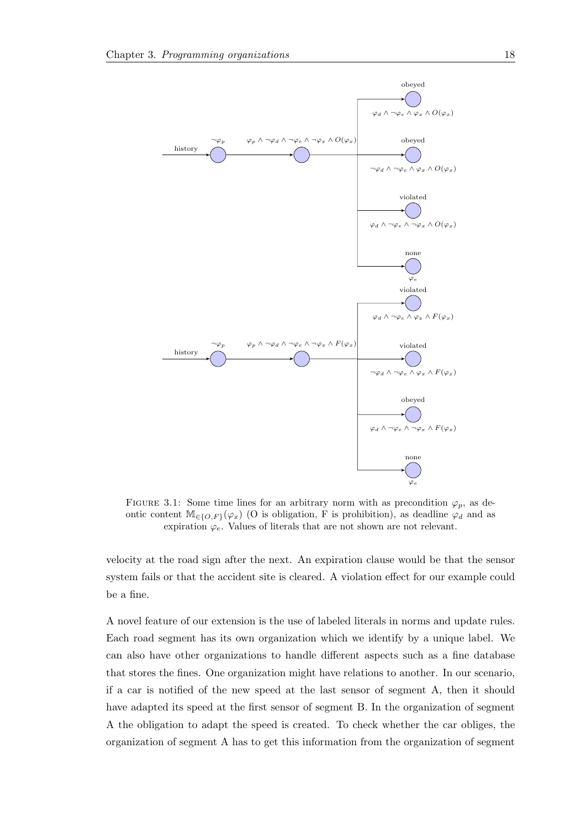<span id="page-21-0"></span>

FIGURE 3.1: Some time lines for an arbitrary norm with as precondition  $\varphi_p$ , as deontic content  $\mathbb{M}_{\in \{O,F\}}(\varphi_x)$  (O is obligation, F is prohibition), as deadline  $\varphi_d$  and as expiration  $\varphi_e$ . Values of literals that are not shown are not relevant.

velocity at the road sign after the next. An expiration clause would be that the sensor system fails or that the accident site is cleared. A violation effect for our example could be a fine.

A novel feature of our extension is the use of labeled literals in norms and update rules. Each road segment has its own organization which we identify by a unique label. We can also have other organizations to handle different aspects such as a fine database that stores the fines. One organization might have relations to another. In our scenario, if a car is notified of the new speed at the last sensor of segment A, then it should have adapted its speed at the first sensor of segment B. In the organization of segment A the obligation to adapt the speed is created. To check whether the car obliges, the organization of segment A has to get this information from the organization of segment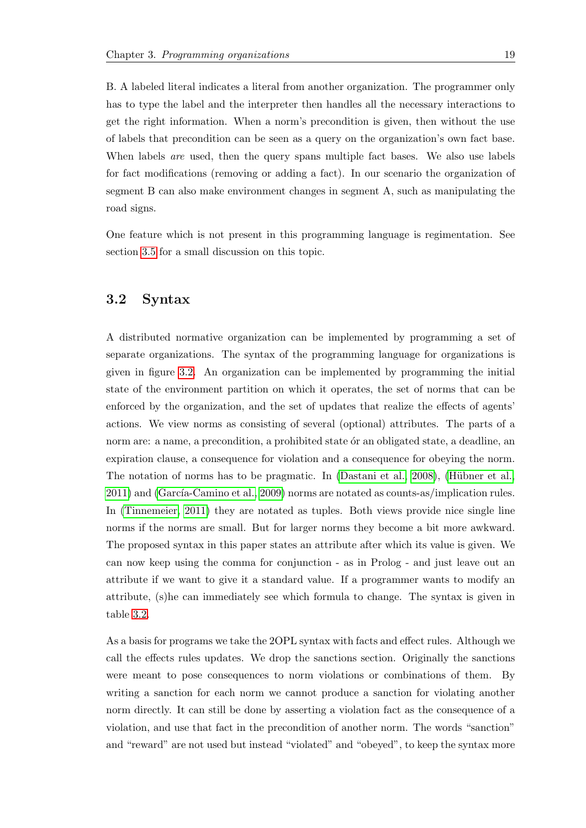B. A labeled literal indicates a literal from another organization. The programmer only has to type the label and the interpreter then handles all the necessary interactions to get the right information. When a norm's precondition is given, then without the use of labels that precondition can be seen as a query on the organization's own fact base. When labels *are* used, then the query spans multiple fact bases. We also use labels for fact modifications (removing or adding a fact). In our scenario the organization of segment B can also make environment changes in segment A, such as manipulating the road signs.

One feature which is not present in this programming language is regimentation. See section [3.5](#page-32-0) for a small discussion on this topic.

## <span id="page-22-0"></span>3.2 Syntax

A distributed normative organization can be implemented by programming a set of separate organizations. The syntax of the programming language for organizations is given in figure [3.2.](#page-23-0) An organization can be implemented by programming the initial state of the environment partition on which it operates, the set of norms that can be enforced by the organization, and the set of updates that realize the effects of agents' actions. We view norms as consisting of several (optional) attributes. The parts of a norm are: a name, a precondition, a prohibited state of an obligated state, a deadline, an expiration clause, a consequence for violation and a consequence for obeying the norm. The notation of norms has to be pragmatic. In  $(Dastani et al., 2008)$ ,  $(Hübner et al., 2008)$  $2011$ ) and (García-Camino et al.,  $2009$ ) norms are notated as counts-as/implication rules. In [\(Tinnemeier, 2011\)](#page-56-6) they are notated as tuples. Both views provide nice single line norms if the norms are small. But for larger norms they become a bit more awkward. The proposed syntax in this paper states an attribute after which its value is given. We can now keep using the comma for conjunction - as in Prolog - and just leave out an attribute if we want to give it a standard value. If a programmer wants to modify an attribute, (s)he can immediately see which formula to change. The syntax is given in table [3.2.](#page-23-0)

As a basis for programs we take the 2OPL syntax with facts and effect rules. Although we call the effects rules updates. We drop the sanctions section. Originally the sanctions were meant to pose consequences to norm violations or combinations of them. By writing a sanction for each norm we cannot produce a sanction for violating another norm directly. It can still be done by asserting a violation fact as the consequence of a violation, and use that fact in the precondition of another norm. The words "sanction" and "reward" are not used but instead "violated" and "obeyed", to keep the syntax more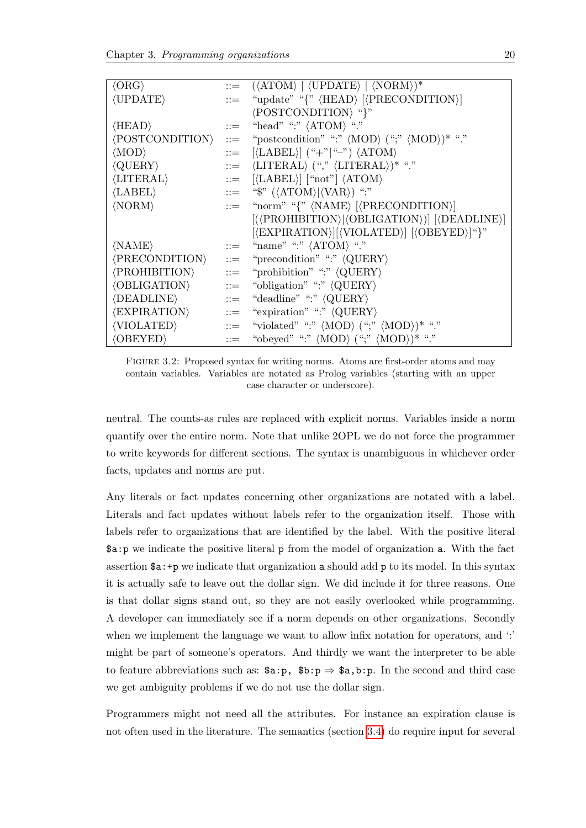<span id="page-23-0"></span>

|                       | $ ::= \langle \langle \text{ATOM} \rangle \mid \langle \text{UPDATE} \rangle \mid \langle \text{NORM} \rangle \rangle^*$    |
|-----------------------|-----------------------------------------------------------------------------------------------------------------------------|
| $\mathrel{\mathop:}=$ | "update" "{" $\langle \text{HEAD} \rangle$ $ \langle \text{PRECONDITION} \rangle $                                          |
|                       | $\langle$ POSTCONDITION $\rangle$ "}"                                                                                       |
| $\mathrel{\mathop:}=$ | "head" ":" $\langle \text{ATOM} \rangle$ "."                                                                                |
| $\mathbf{m}$          | "postcondition" ":" $\langle \text{MOD} \rangle$ (";" $\langle \text{MOD} \rangle$ )* "."                                   |
| $\mathrel{\mathop:}=$ | $[\langle\text{LABEL}\rangle]$ ("+" "-") $\langle\text{ATOM}\rangle$                                                        |
|                       | $\ ::= \ \ \langle \text{LITERAL} \rangle \ (\text{``},\text{''} \ \langle \text{LITERAL} \rangle) \text{''} \ \text{``."}$ |
|                       | $\ ::= \ \ [\langle \text{LABEL} \rangle] \ [\text{``not"}] \ \langle \text{ATOM} \rangle$                                  |
|                       | $\therefore$ = "\$" ( $\langle \text{ATOM} \rangle   \langle \text{VAR} \rangle$ ) ":"                                      |
|                       | $ ::=$ "norm" "{" $\langle NAME \rangle$ $ \langle PRECONDITION \rangle$ ]                                                  |
|                       | $[(\langle \text{PROHIBITION} \rangle   \langle \text{OBLIGATION} \rangle)]$ $[\langle \text{DEADLINE} \rangle]$            |
|                       | $[\langle EXPIRATION \rangle] [\langle VIOLATED \rangle] [\langle OBEYED \rangle]$ "}"                                      |
| $\mathrel{\mathop:}=$ | "name" ":" $\langle \text{ATOM} \rangle$ "."                                                                                |
| $\equiv$              | "precondition" ":" $\langle \text{QUERY} \rangle$                                                                           |
| $\equiv$              | "prohibition" ":" $\langle \text{QUERY} \rangle$                                                                            |
| $\mathrel{\mathop:}=$ | "obligation" ":" $\langle \text{QUERY} \rangle$                                                                             |
| $\equiv$              | "deadline" ":" $\langle \text{QUERY} \rangle$                                                                               |
| $::=$                 | "expiration" ":" $\langle \text{QUERY} \rangle$                                                                             |
| $\mathrel{\mathop:}=$ | "violated" ":" $\langle \text{MOD} \rangle$ (";" $\langle \text{MOD} \rangle$ )* "."                                        |
|                       |                                                                                                                             |
|                       |                                                                                                                             |

Figure 3.2: Proposed syntax for writing norms. Atoms are first-order atoms and may contain variables. Variables are notated as Prolog variables (starting with an upper case character or underscore).

neutral. The counts-as rules are replaced with explicit norms. Variables inside a norm quantify over the entire norm. Note that unlike 2OPL we do not force the programmer to write keywords for different sections. The syntax is unambiguous in whichever order facts, updates and norms are put.

Any literals or fact updates concerning other organizations are notated with a label. Literals and fact updates without labels refer to the organization itself. Those with labels refer to organizations that are identified by the label. With the positive literal \$a:p we indicate the positive literal p from the model of organization a. With the fact assertion \$a:+p we indicate that organization a should add p to its model. In this syntax it is actually safe to leave out the dollar sign. We did include it for three reasons. One is that dollar signs stand out, so they are not easily overlooked while programming. A developer can immediately see if a norm depends on other organizations. Secondly when we implement the language we want to allow infix notation for operators, and ":" might be part of someone's operators. And thirdly we want the interpreter to be able to feature abbreviations such as:  $\alpha : p \Rightarrow \alpha, b : p$ . In the second and third case we get ambiguity problems if we do not use the dollar sign.

Programmers might not need all the attributes. For instance an expiration clause is not often used in the literature. The semantics (section [3.4\)](#page-26-0) do require input for several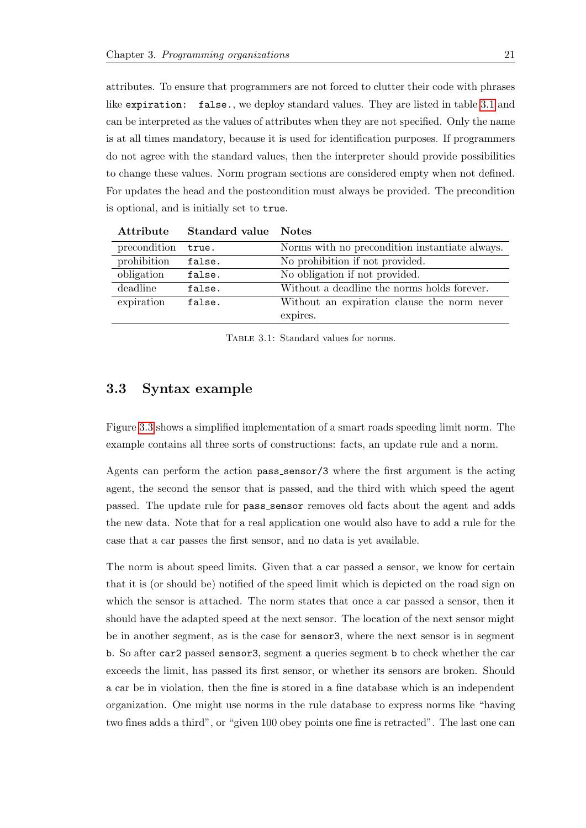attributes. To ensure that programmers are not forced to clutter their code with phrases like expiration: false., we deploy standard values. They are listed in table [3.1](#page-24-1) and can be interpreted as the values of attributes when they are not specified. Only the name is at all times mandatory, because it is used for identification purposes. If programmers do not agree with the standard values, then the interpreter should provide possibilities to change these values. Norm program sections are considered empty when not defined. For updates the head and the postcondition must always be provided. The precondition is optional, and is initially set to true.

<span id="page-24-1"></span>

| Attribute    | <b>Standard value</b> Notes |                                                |
|--------------|-----------------------------|------------------------------------------------|
| precondition | true.                       | Norms with no precondition instantiate always. |
| prohibition  | false.                      | No prohibition if not provided.                |
| obligation   | false.                      | No obligation if not provided.                 |
| deadline     | false.                      | Without a deadline the norms holds forever.    |
| expiration   | false.                      | Without an expiration clause the norm never    |
|              |                             | expires.                                       |

TABLE 3.1: Standard values for norms.

## <span id="page-24-0"></span>3.3 Syntax example

Figure [3.3](#page-25-0) shows a simplified implementation of a smart roads speeding limit norm. The example contains all three sorts of constructions: facts, an update rule and a norm.

Agents can perform the action pass sensor/3 where the first argument is the acting agent, the second the sensor that is passed, and the third with which speed the agent passed. The update rule for pass\_sensor removes old facts about the agent and adds the new data. Note that for a real application one would also have to add a rule for the case that a car passes the first sensor, and no data is yet available.

The norm is about speed limits. Given that a car passed a sensor, we know for certain that it is (or should be) notified of the speed limit which is depicted on the road sign on which the sensor is attached. The norm states that once a car passed a sensor, then it should have the adapted speed at the next sensor. The location of the next sensor might be in another segment, as is the case for sensor3, where the next sensor is in segment b. So after car2 passed sensor3, segment a queries segment b to check whether the car exceeds the limit, has passed its first sensor, or whether its sensors are broken. Should a car be in violation, then the fine is stored in a fine database which is an independent organization. One might use norms in the rule database to express norms like "having two fines adds a third", or "given 100 obey points one fine is retracted". The last one can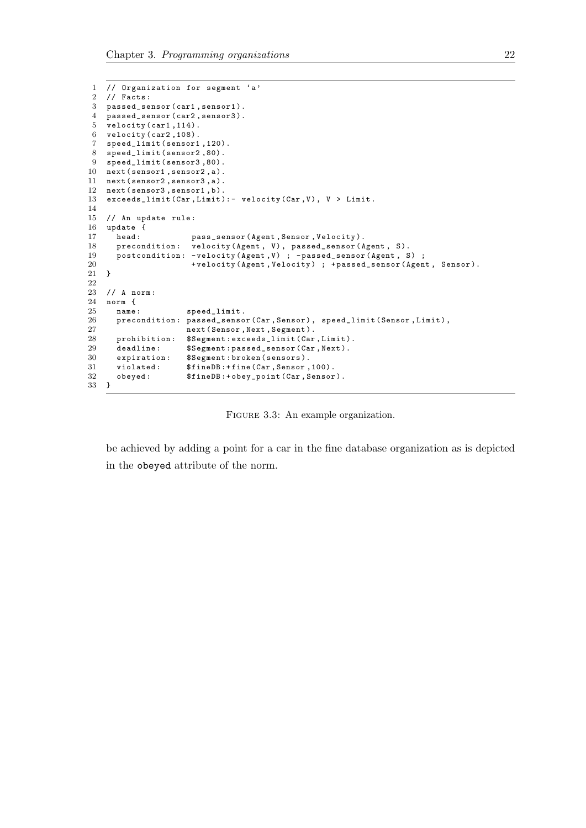```
1 // Organization for segment 'a '
 2 // Facts:
 3 passed_sensor ( car1 , sensor1 ).
 4 passed_sensor ( car2 , sensor3 ).
 5 velocity ( car1 ,114).
 6 velocity ( car2 ,108).
 7 speed_limit ( sensor1 ,120).
 8 speed_limit (sensor2,80).<br>9 speed_limit (sensor3,80).
    speed_limit (sensor3,80).
10 next (sensor1, sensor2, a).
11 next ( sensor2 , sensor3 , a ).
12 next (sensor3, sensor1, b).
13 exceeds_limit (Car, Limit) : - velocity (Car, V), V > Limit.
14
15 // An update rule:<br>16 update {
16 update {<br>17 head:
17 head: pass_sensor(Agent, Sensor, Velocity).<br>18 precondition: velocity(Agent, V), passed_sensor(A
18 precondition: velocity (Agent, V), passed_sensor (Agent, S).<br>19 postcondition: -velocity (Agent V) : -passed sensor (Agent S)
19 postcondition : - velocity ( Agent ,V ) ; - passed_sensor ( Agent , S) ;
                             +velocity (Agent, Velocity) ; +passed_sensor (Agent, Sensor).
21 }
\frac{22}{23}// A norm:
\begin{tabular}{cc} 24 & norm & {\bf f} \\ 25 & name: \end{tabular}25 name: speed_limit.<br>26 precondition: passed_senso
        precondition: passed_sensor (Car, Sensor), speed_limit ( Sensor, Limit),
27 next (Sensor, Next, Segment).
28 prohibition: $Segment:exceeds_limit(Car,Limit).<br>29 deadline: $Segment:passed_sensor(Car,Next).
29 deadline: $Segment:passed_sensor (Car, Next).<br>30 expiration: $Segment:broken(sensors).
30 expiration: $Segment:broken(sensors).<br>31 violated: $fineDB:+fine(Car,Sensor,
31 violated: $fineDB:+fine(Car, Sensor, 100).<br>32 obeyed: $fineDB:+obey_point(Car, Sensor
    obeyed: $fineDB : + obey\_point ( Car, Sensor).33\,
```
be achieved by adding a point for a car in the fine database organization as is depicted in the obeyed attribute of the norm.

FIGURE 3.3: An example organization.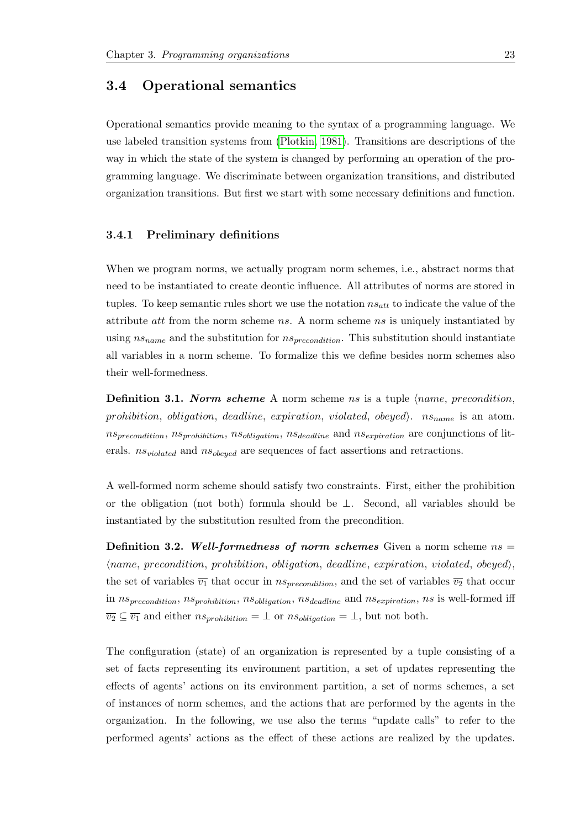## <span id="page-26-0"></span>3.4 Operational semantics

Operational semantics provide meaning to the syntax of a programming language. We use labeled transition systems from [\(Plotkin, 1981\)](#page-56-11). Transitions are descriptions of the way in which the state of the system is changed by performing an operation of the programming language. We discriminate between organization transitions, and distributed organization transitions. But first we start with some necessary definitions and function.

#### <span id="page-26-1"></span>3.4.1 Preliminary definitions

When we program norms, we actually program norm schemes, i.e., abstract norms that need to be instantiated to create deontic influence. All attributes of norms are stored in tuples. To keep semantic rules short we use the notation  $ns_{att}$  to indicate the value of the attribute att from the norm scheme ns. A norm scheme ns is uniquely instantiated by using  $ns_{name}$  and the substitution for  $ns_{precondition}$ . This substitution should instantiate all variables in a norm scheme. To formalize this we define besides norm schemes also their well-formedness.

**Definition 3.1. Norm scheme** A norm scheme ns is a tuple  $\langle name, precondition, \rangle$ prohibition, obligation, deadline, expiration, violated, obeyed).  $ns_{name}$  is an atom.  $ns_{precondition}$ ,  $ns<sub>problem</sub>$ ,  $ns<sub>oblication</sub>$ ,  $ns<sub>oblication</sub>$ ,  $ns<sub>deadline</sub>$  and  $ns<sub>expiration</sub>$  are conjunctions of literals.  $ns_{violated}$  and  $ns_{obeyed}$  are sequences of fact assertions and retractions.

A well-formed norm scheme should satisfy two constraints. First, either the prohibition or the obligation (not both) formula should be ⊥. Second, all variables should be instantiated by the substitution resulted from the precondition.

**Definition 3.2.** Well-formedness of norm schemes Given a norm scheme  $ns =$  $\langle name, precondition,$  prohibition, obligation, deadline, expiration, violated, obeyed), the set of variables  $\overline{v_1}$  that occur in  $ns_{precondition}$ , and the set of variables  $\overline{v_2}$  that occur in  $ns_{precondition}$ ,  $ns_{prohibition}$ ,  $ns_{obligation}$ ,  $ns_{deadline}$  and  $ns_{exp irrational}$ , ns is well-formed iff  $\overline{v_2} \subseteq \overline{v_1}$  and either  $ns_{\text{prohibition}} = \bot$  or  $ns_{\text{obligation}} = \bot$ , but not both.

The configuration (state) of an organization is represented by a tuple consisting of a set of facts representing its environment partition, a set of updates representing the effects of agents' actions on its environment partition, a set of norms schemes, a set of instances of norm schemes, and the actions that are performed by the agents in the organization. In the following, we use also the terms "update calls" to refer to the performed agents' actions as the effect of these actions are realized by the updates.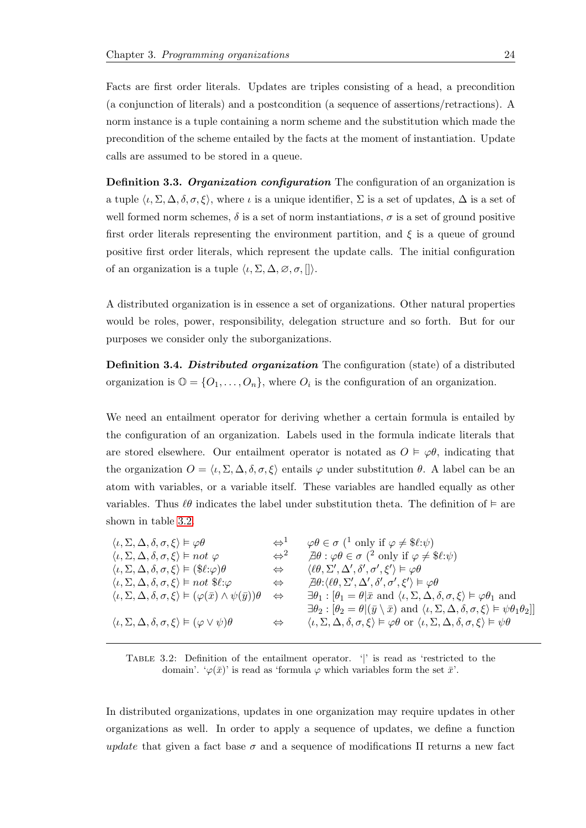Facts are first order literals. Updates are triples consisting of a head, a precondition (a conjunction of literals) and a postcondition (a sequence of assertions/retractions). A norm instance is a tuple containing a norm scheme and the substitution which made the precondition of the scheme entailed by the facts at the moment of instantiation. Update calls are assumed to be stored in a queue.

Definition 3.3. Organization configuration The configuration of an organization is a tuple  $\langle \iota, \Sigma, \Delta, \delta, \sigma, \xi \rangle$ , where  $\iota$  is a unique identifier,  $\Sigma$  is a set of updates,  $\Delta$  is a set of well formed norm schemes,  $\delta$  is a set of norm instantiations,  $\sigma$  is a set of ground positive first order literals representing the environment partition, and  $\xi$  is a queue of ground positive first order literals, which represent the update calls. The initial configuration of an organization is a tuple  $\langle \iota, \Sigma, \Delta, \varnothing, \sigma, [] \rangle$ .

A distributed organization is in essence a set of organizations. Other natural properties would be roles, power, responsibility, delegation structure and so forth. But for our purposes we consider only the suborganizations.

Definition 3.4. Distributed organization The configuration (state) of a distributed organization is  $\mathbb{O} = \{O_1, \ldots, O_n\}$ , where  $O_i$  is the configuration of an organization.

We need an entailment operator for deriving whether a certain formula is entailed by the configuration of an organization. Labels used in the formula indicate literals that are stored elsewhere. Our entailment operator is notated as  $O \vDash \varphi \theta$ , indicating that the organization  $O = \langle \iota, \Sigma, \Delta, \delta, \sigma, \xi \rangle$  entails  $\varphi$  under substitution  $\theta$ . A label can be an atom with variables, or a variable itself. These variables are handled equally as other variables. Thus  $\ell\theta$  indicates the label under substitution theta. The definition of  $\epsilon$  are shown in table [3.2.](#page-27-0)

<span id="page-27-0"></span>

| $\langle \iota, \Sigma, \Delta, \delta, \sigma, \xi \rangle \vDash \varphi \theta$                                 | $\Leftrightarrow$ <sup>1</sup> | $\varphi \theta \in \sigma$ ( <sup>1</sup> only if $\varphi \neq \text{$\ell:\psi$}$ )                                                                                        |
|--------------------------------------------------------------------------------------------------------------------|--------------------------------|-------------------------------------------------------------------------------------------------------------------------------------------------------------------------------|
| $\langle \iota, \Sigma, \Delta, \delta, \sigma, \xi \rangle \models not \varphi$                                   | $\Leftrightarrow$ <sup>2</sup> | $\exists \theta : \varphi \theta \in \sigma$ ( <sup>2</sup> only if $\varphi \neq \$\ell:\psi$ )                                                                              |
| $\langle \iota, \Sigma, \Delta, \delta, \sigma, \xi \rangle \vDash (\$\ell : \varphi)\theta$                       | $\Leftrightarrow$              | $\langle \ell \theta, \Sigma', \Delta', \delta', \sigma', \xi' \rangle \vDash \varphi \theta$                                                                                 |
| $\langle \iota, \Sigma, \Delta, \delta, \sigma, \xi \rangle \models not \; \$\ell:\varphi$                         | $\Leftrightarrow$              | $\exists \theta : \langle \ell \theta, \Sigma', \Delta', \delta', \sigma', \xi' \rangle \models \varphi \theta$                                                               |
| $\langle \iota, \Sigma, \Delta, \delta, \sigma, \xi \rangle \vDash (\varphi(\bar{x}) \wedge \psi(\bar{y})) \theta$ | $\Leftrightarrow$              | $\exists \theta_1 : [\theta_1 = \theta   \bar{x} \text{ and } \langle \iota, \Sigma, \Delta, \delta, \sigma, \xi \rangle \models \varphi \theta_1 \text{ and }$               |
|                                                                                                                    |                                | $\exists \theta_2 : [\theta_2 = \theta   (\bar{y} \setminus \bar{x}) \text{ and } \langle \iota, \Sigma, \Delta, \delta, \sigma, \xi \rangle \models \psi \theta_1 \theta_2]$ |
| $\langle \iota, \Sigma, \Delta, \delta, \sigma, \xi \rangle \vDash (\varphi \vee \psi)\theta$                      | $\Leftrightarrow$              | $\langle \iota, \Sigma, \Delta, \delta, \sigma, \xi \rangle \models \varphi \theta$ or $\langle \iota, \Sigma, \Delta, \delta, \sigma, \xi \rangle \models \psi \theta$       |
|                                                                                                                    |                                |                                                                                                                                                                               |

Table 3.2: Definition of the entailment operator. '|' is read as 'restricted to the domain'. ' $\varphi(\bar{x})$ ' is read as 'formula  $\varphi$  which variables form the set  $\bar{x}$ '.

In distributed organizations, updates in one organization may require updates in other organizations as well. In order to apply a sequence of updates, we define a function update that given a fact base  $\sigma$  and a sequence of modifications  $\Pi$  returns a new fact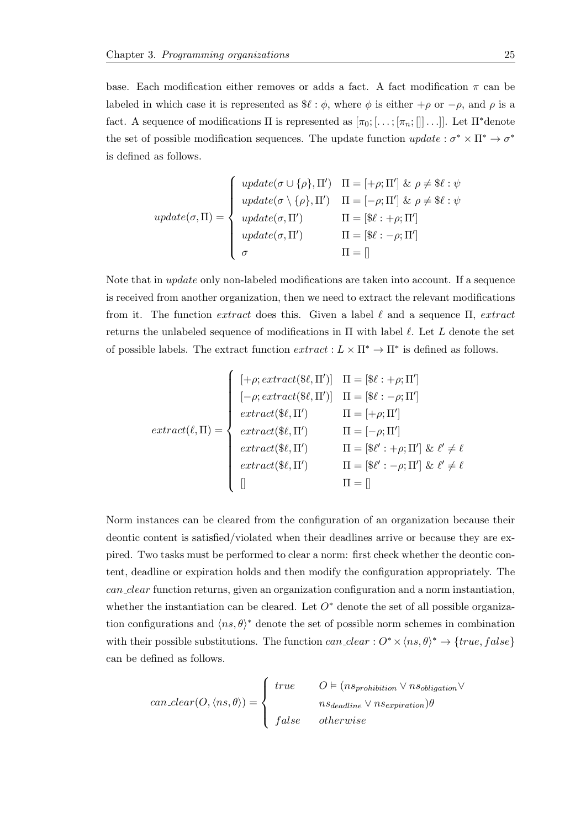base. Each modification either removes or adds a fact. A fact modification  $\pi$  can be labeled in which case it is represented as  $\mathcal{L} : \phi$ , where  $\phi$  is either  $+\rho$  or  $-\rho$ , and  $\rho$  is a fact. A sequence of modifications  $\Pi$  is represented as  $[\pi_0; \ldots; [\pi_n; \ldots]]$ . Let  $\Pi^*$ denote the set of possible modification sequences. The update function  $update: \sigma^* \times \Pi^* \to \sigma^*$ is defined as follows.

$$
update(\sigma, \Pi) = \begin{cases} update(\sigma \cup \{\rho\}, \Pi') & \Pi = [+\rho; \Pi'] \& \rho \neq \$\ell : \psi \\ update(\sigma \setminus \{\rho\}, \Pi') & \Pi = [-\rho; \Pi'] \& \rho \neq \$\ell : \psi \\ update(\sigma, \Pi') & \Pi = [\$\ell : +\rho; \Pi'] \\ update(\sigma, \Pi') & \Pi = [\$\ell : -\rho; \Pi'] \\ \sigma & \Pi = [] \end{cases}
$$

Note that in update only non-labeled modifications are taken into account. If a sequence is received from another organization, then we need to extract the relevant modifications from it. The function extract does this. Given a label  $\ell$  and a sequence Π, extract returns the unlabeled sequence of modifications in  $\Pi$  with label  $\ell$ . Let L denote the set of possible labels. The extract function  $extract: L \times \Pi^* \to \Pi^*$  is defined as follows.

$$
extract(\ell, \Pi) = \begin{cases} \left[ +\rho; extract(\text{$\mathcal{L}$}, \Pi') \right] & \Pi = [\text{$\mathcal{L}$} : +\rho; \Pi'] \\ \left[ -\rho; extract(\text{$\mathcal{L}$}, \Pi') \right] & \Pi = [\text{$\mathcal{L}$} : -\rho; \Pi'] \\ extract(\text{$\mathcal{L}$}, \Pi') & \Pi = [+\rho; \Pi'] \\ extract(\text{$\mathcal{L}$}, \Pi') & \Pi = [-\rho; \Pi'] \\ extract(\text{$\mathcal{L}$}, \Pi') & \Pi = [\text{$\mathcal{L}$}': +\rho; \Pi'] \& \ell' \neq \ell \\ extract(\text{$\mathcal{L}$}, \Pi') & \Pi = [\text{$\mathcal{L}$}': -\rho; \Pi'] \& \ell' \neq \ell \\ \hline \end{cases}
$$

Norm instances can be cleared from the configuration of an organization because their deontic content is satisfied/violated when their deadlines arrive or because they are expired. Two tasks must be performed to clear a norm: first check whether the deontic content, deadline or expiration holds and then modify the configuration appropriately. The can clear function returns, given an organization configuration and a norm instantiation, whether the instantiation can be cleared. Let  $O^*$  denote the set of all possible organization configurations and  $\langle ns, \theta \rangle^*$  denote the set of possible norm schemes in combination with their possible substitutions. The function  $can\_clear: O^* \times \langle ns, \theta \rangle^* \rightarrow \{true, false\}$ can be defined as follows.

$$
can\_clear(O, \langle ns, \theta \rangle) = \begin{cases} true & O \vDash (ns_{\text{prohibition}} \vee ns_{\text{obligation}} \vee \neg \vee ns_{\text{obligation}} \vee \neg \vee ns_{\text{deadline}} \vee ns_{\text{expiration}}) \theta \\ false & otherwise \end{cases}
$$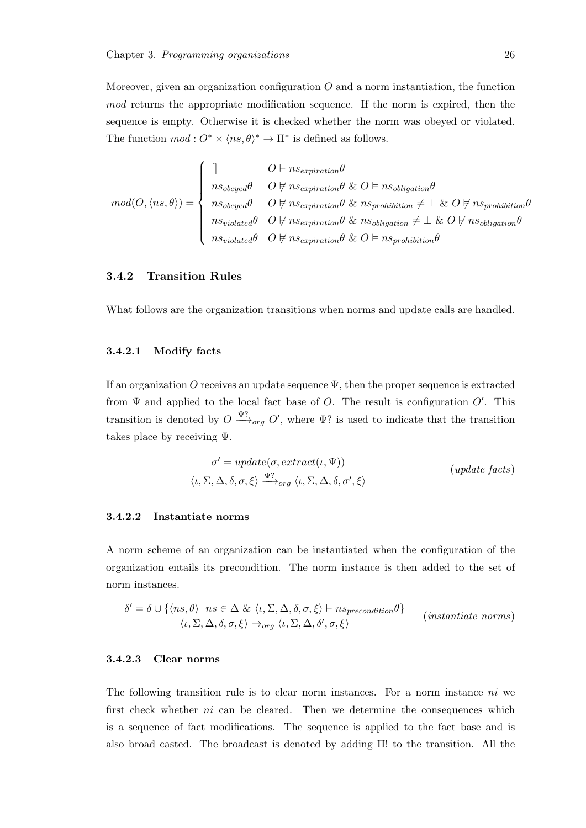Moreover, given an organization configuration  $O$  and a norm instantiation, the function mod returns the appropriate modification sequence. If the norm is expired, then the sequence is empty. Otherwise it is checked whether the norm was obeyed or violated. The function  $mod: O^* \times \langle ns, \theta \rangle^* \to \Pi^*$  is defined as follows.

$$
mod(O, \langle ns, \theta \rangle) = \left\{ \begin{array}{ll} [] & O \vDash nse_{expiration}\theta \\ & \\ nso_{beyed}\theta & O \nvDash nse_{expiration}\theta \& O \vDash nso_{bligation}\theta \\ & \\ nso_{beyed}\theta & O \nvDash nse_{expiration}\theta \& ns_{prohibition}\neq \bot \& O \nvDash nso_{bligation}\theta \\ & \\ nso_{iolated}\theta & O \nvDash nse_{expiration}\theta \& nso_{bligation}\neq \bot \& O \nvDash nso_{bligation}\theta \\ & \\ nso_{iolated}\theta & O \nvDash nse_{epirration}\theta \& O \vDash nso_{bridation}\theta \end{array} \right.
$$

#### <span id="page-29-0"></span>3.4.2 Transition Rules

What follows are the organization transitions when norms and update calls are handled.

#### <span id="page-29-1"></span>3.4.2.1 Modify facts

If an organization O receives an update sequence  $\Psi$ , then the proper sequence is extracted from  $\Psi$  and applied to the local fact base of O. The result is configuration  $O'$ . This transition is denoted by  $O \stackrel{\Psi?}{\longrightarrow}_{org} O'$ , where  $\Psi$ ? is used to indicate that the transition takes place by receiving  $\Psi$ .

$$
\frac{\sigma' = update(\sigma, extract(\iota, \Psi))}{\langle \iota, \Sigma, \Delta, \delta, \sigma, \xi \rangle \xrightarrow{\Psi?} \langle \iota, \Sigma, \Delta, \delta, \sigma', \xi \rangle} \qquad (update \ facts)
$$

#### <span id="page-29-2"></span>3.4.2.2 Instantiate norms

A norm scheme of an organization can be instantiated when the configuration of the organization entails its precondition. The norm instance is then added to the set of norm instances.

$$
\frac{\delta' = \delta \cup \{ \langle ns, \theta \rangle \mid ns \in \Delta \& \langle \iota, \Sigma, \Delta, \delta, \sigma, \xi \rangle \vDash n s_{precondition} \theta \}}{\langle \iota, \Sigma, \Delta, \delta, \sigma, \xi \rangle \rightarrow_{org} \langle \iota, \Sigma, \Delta, \delta', \sigma, \xi \rangle} \qquad (instantiate norms)
$$

#### <span id="page-29-3"></span>3.4.2.3 Clear norms

The following transition rule is to clear norm instances. For a norm instance ni we first check whether ni can be cleared. Then we determine the consequences which is a sequence of fact modifications. The sequence is applied to the fact base and is also broad casted. The broadcast is denoted by adding Π! to the transition. All the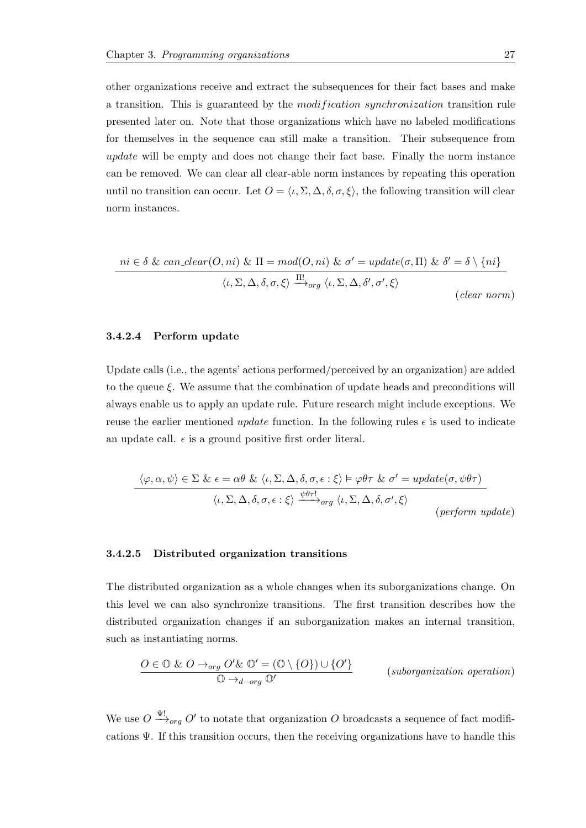other organizations receive and extract the subsequences for their fact bases and make a transition. This is guaranteed by the *modification synchronization* transition rule presented later on. Note that those organizations which have no labeled modifications for themselves in the sequence can still make a transition. Their subsequence from update will be empty and does not change their fact base. Finally the norm instance can be removed. We can clear all clear-able norm instances by repeating this operation until no transition can occur. Let  $O = \langle \iota, \Sigma, \Delta, \delta, \sigma, \xi \rangle$ , the following transition will clear norm instances.

$$
ni \in \delta \& can\_clear(O, ni) \& \Pi = mod(O, ni) \& \sigma' = update(\sigma, \Pi) \& \delta' = \delta \setminus \{ni\}
$$

$$
\langle \iota, \Sigma, \Delta, \delta, \sigma, \xi \rangle \xrightarrow{\Pi'} \langle \iota, \Sigma, \Delta, \delta', \sigma', \xi \rangle
$$

$$
(clear\ norm)
$$

#### <span id="page-30-0"></span>3.4.2.4 Perform update

Update calls (i.e., the agents' actions performed/perceived by an organization) are added to the queue  $\xi$ . We assume that the combination of update heads and preconditions will always enable us to apply an update rule. Future research might include exceptions. We reuse the earlier mentioned update function. In the following rules  $\epsilon$  is used to indicate an update call.  $\epsilon$  is a ground positive first order literal.

$$
\langle \varphi, \alpha, \psi \rangle \in \Sigma \& \epsilon = \alpha \theta \& \langle \iota, \Sigma, \Delta, \delta, \sigma, \epsilon : \xi \rangle \models \varphi \theta \tau \& \sigma' = update(\sigma, \psi \theta \tau)
$$

$$
\langle \iota, \Sigma, \Delta, \delta, \sigma, \epsilon : \xi \rangle \xrightarrow{\psi \theta \tau!} \neg \varphi \langle \iota, \Sigma, \Delta, \delta, \sigma', \xi \rangle
$$

$$
(perform \ update)
$$

#### <span id="page-30-1"></span>3.4.2.5 Distributed organization transitions

The distributed organization as a whole changes when its suborganizations change. On this level we can also synchronize transitions. The first transition describes how the distributed organization changes if an suborganization makes an internal transition, such as instantiating norms.

$$
\frac{O \in \mathbb{O} \& O \rightarrow_{org} O' \& \mathbb{O}' = (\mathbb{O} \setminus \{O\}) \cup \{O'\}}{\mathbb{O} \rightarrow_{d - org} \mathbb{O}'}
$$
 (suborganization operation)

We use  $O \stackrel{\Psi!}{\longrightarrow}_{org} O'$  to notate that organization O broadcasts a sequence of fact modifications  $\Psi$ . If this transition occurs, then the receiving organizations have to handle this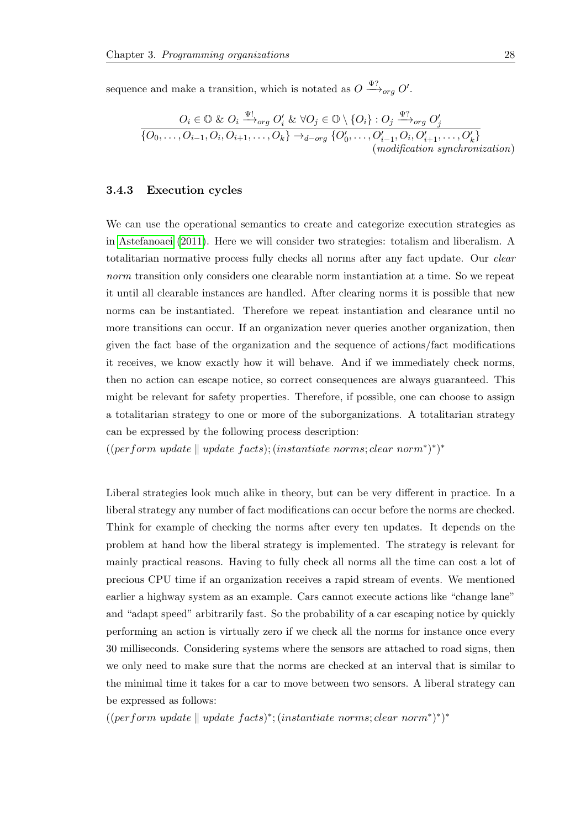sequence and make a transition, which is notated as  $O \stackrel{\Psi?}{\longrightarrow}_{org} O'$ .

$$
O_i \in \mathbb{O} \& O_i \xrightarrow{\Psi!} o_{rg} O'_i \& \forall O_j \in \mathbb{O} \setminus \{O_i\} : O_j \xrightarrow{\Psi?} o_{rg} O'_j
$$
  

$$
\overline{\{O_0, \ldots, O_{i-1}, O_i, O_{i+1}, \ldots, O_k\}} \rightarrow_{d - org} \{O'_0, \ldots, O'_{i-1}, O_i, O'_{i+1}, \ldots, O'_k\}
$$
  
(*modification synchronization)*

#### <span id="page-31-0"></span>3.4.3 Execution cycles

We can use the operational semantics to create and categorize execution strategies as in [Astefanoaei](#page-53-6) [\(2011\)](#page-53-6). Here we will consider two strategies: totalism and liberalism. A totalitarian normative process fully checks all norms after any fact update. Our *clear* norm transition only considers one clearable norm instantiation at a time. So we repeat it until all clearable instances are handled. After clearing norms it is possible that new norms can be instantiated. Therefore we repeat instantiation and clearance until no more transitions can occur. If an organization never queries another organization, then given the fact base of the organization and the sequence of actions/fact modifications it receives, we know exactly how it will behave. And if we immediately check norms, then no action can escape notice, so correct consequences are always guaranteed. This might be relevant for safety properties. Therefore, if possible, one can choose to assign a totalitarian strategy to one or more of the suborganizations. A totalitarian strategy can be expressed by the following process description:

 $((perform update \parallel update \ facts); (instantiate \ norms; clear \ norm^*)^*)^*$ 

Liberal strategies look much alike in theory, but can be very different in practice. In a liberal strategy any number of fact modifications can occur before the norms are checked. Think for example of checking the norms after every ten updates. It depends on the problem at hand how the liberal strategy is implemented. The strategy is relevant for mainly practical reasons. Having to fully check all norms all the time can cost a lot of precious CPU time if an organization receives a rapid stream of events. We mentioned earlier a highway system as an example. Cars cannot execute actions like "change lane" and "adapt speed" arbitrarily fast. So the probability of a car escaping notice by quickly performing an action is virtually zero if we check all the norms for instance once every 30 milliseconds. Considering systems where the sensors are attached to road signs, then we only need to make sure that the norms are checked at an interval that is similar to the minimal time it takes for a car to move between two sensors. A liberal strategy can be expressed as follows:

 $((perform update || update facts)^*; (instantiate norms; clear norm*)^*)^*$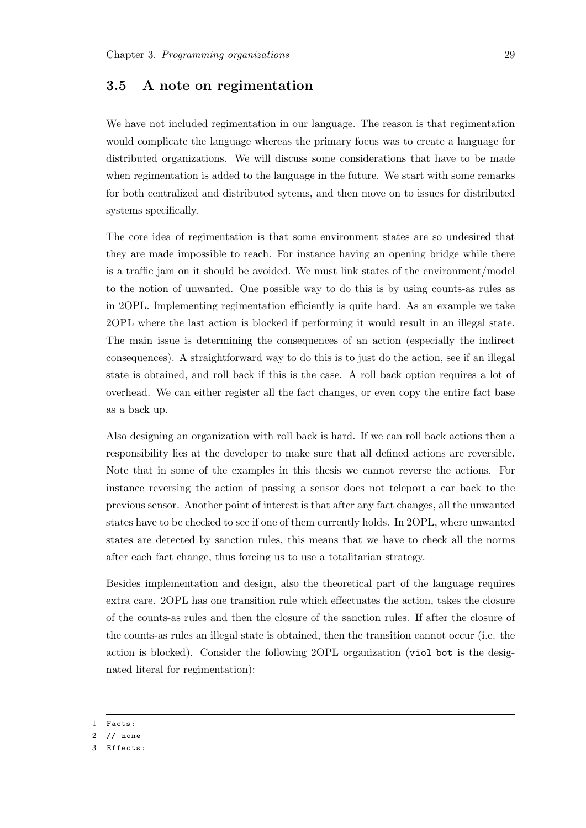## <span id="page-32-0"></span>3.5 A note on regimentation

We have not included regimentation in our language. The reason is that regimentation would complicate the language whereas the primary focus was to create a language for distributed organizations. We will discuss some considerations that have to be made when regimentation is added to the language in the future. We start with some remarks for both centralized and distributed sytems, and then move on to issues for distributed systems specifically.

The core idea of regimentation is that some environment states are so undesired that they are made impossible to reach. For instance having an opening bridge while there is a traffic jam on it should be avoided. We must link states of the environment/model to the notion of unwanted. One possible way to do this is by using counts-as rules as in 2OPL. Implementing regimentation efficiently is quite hard. As an example we take 2OPL where the last action is blocked if performing it would result in an illegal state. The main issue is determining the consequences of an action (especially the indirect consequences). A straightforward way to do this is to just do the action, see if an illegal state is obtained, and roll back if this is the case. A roll back option requires a lot of overhead. We can either register all the fact changes, or even copy the entire fact base as a back up.

Also designing an organization with roll back is hard. If we can roll back actions then a responsibility lies at the developer to make sure that all defined actions are reversible. Note that in some of the examples in this thesis we cannot reverse the actions. For instance reversing the action of passing a sensor does not teleport a car back to the previous sensor. Another point of interest is that after any fact changes, all the unwanted states have to be checked to see if one of them currently holds. In 2OPL, where unwanted states are detected by sanction rules, this means that we have to check all the norms after each fact change, thus forcing us to use a totalitarian strategy.

Besides implementation and design, also the theoretical part of the language requires extra care. 2OPL has one transition rule which effectuates the action, takes the closure of the counts-as rules and then the closure of the sanction rules. If after the closure of the counts-as rules an illegal state is obtained, then the transition cannot occur (i.e. the action is blocked). Consider the following 2OPL organization (viol bot is the designated literal for regimentation):

1 Facts :

<sup>2</sup> // none

<sup>3</sup> Effects :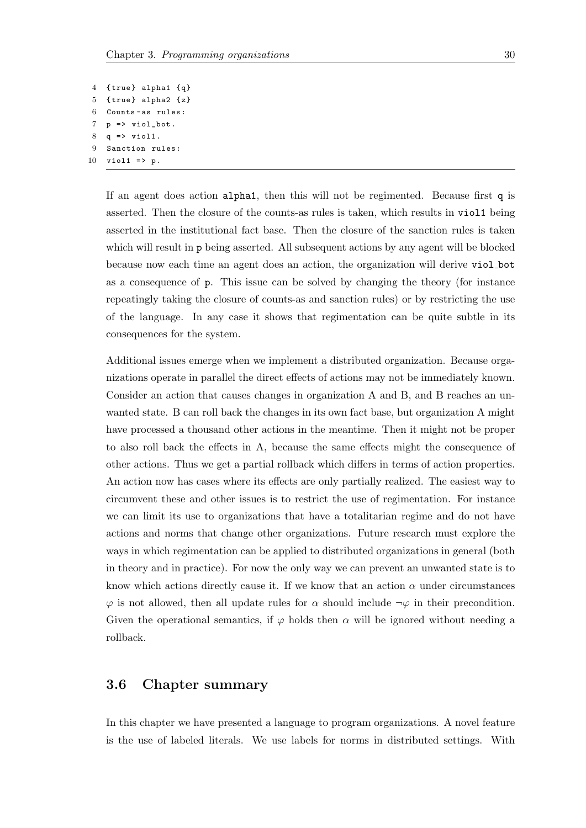```
4 { true } alpha1 {q}
5 { true } alpha2 {z}
6 Counts - as rules :
7 p => viol_bot.
8 \t q \Rightarrow viol1.
9 Sanction rules :
10 viol1 => p.
```
If an agent does action alpha1, then this will not be regimented. Because first q is asserted. Then the closure of the counts-as rules is taken, which results in viol1 being asserted in the institutional fact base. Then the closure of the sanction rules is taken which will result in p being asserted. All subsequent actions by any agent will be blocked because now each time an agent does an action, the organization will derive viol bot as a consequence of p. This issue can be solved by changing the theory (for instance repeatingly taking the closure of counts-as and sanction rules) or by restricting the use of the language. In any case it shows that regimentation can be quite subtle in its consequences for the system.

Additional issues emerge when we implement a distributed organization. Because organizations operate in parallel the direct effects of actions may not be immediately known. Consider an action that causes changes in organization A and B, and B reaches an unwanted state. B can roll back the changes in its own fact base, but organization A might have processed a thousand other actions in the meantime. Then it might not be proper to also roll back the effects in A, because the same effects might the consequence of other actions. Thus we get a partial rollback which differs in terms of action properties. An action now has cases where its effects are only partially realized. The easiest way to circumvent these and other issues is to restrict the use of regimentation. For instance we can limit its use to organizations that have a totalitarian regime and do not have actions and norms that change other organizations. Future research must explore the ways in which regimentation can be applied to distributed organizations in general (both in theory and in practice). For now the only way we can prevent an unwanted state is to know which actions directly cause it. If we know that an action  $\alpha$  under circumstances  $\varphi$  is not allowed, then all update rules for  $\alpha$  should include  $\neg \varphi$  in their precondition. Given the operational semantics, if  $\varphi$  holds then  $\alpha$  will be ignored without needing a rollback.

## <span id="page-33-0"></span>3.6 Chapter summary

In this chapter we have presented a language to program organizations. A novel feature is the use of labeled literals. We use labels for norms in distributed settings. With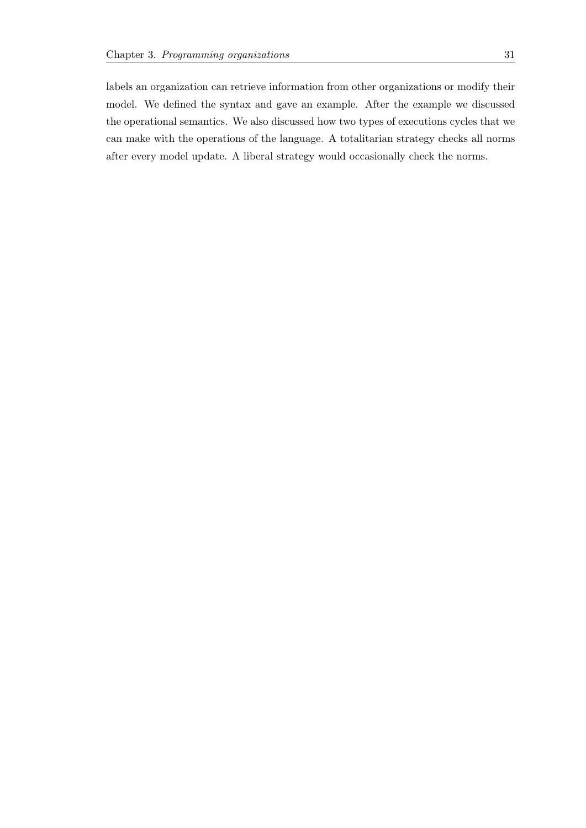labels an organization can retrieve information from other organizations or modify their model. We defined the syntax and gave an example. After the example we discussed the operational semantics. We also discussed how two types of executions cycles that we can make with the operations of the language. A totalitarian strategy checks all norms after every model update. A liberal strategy would occasionally check the norms.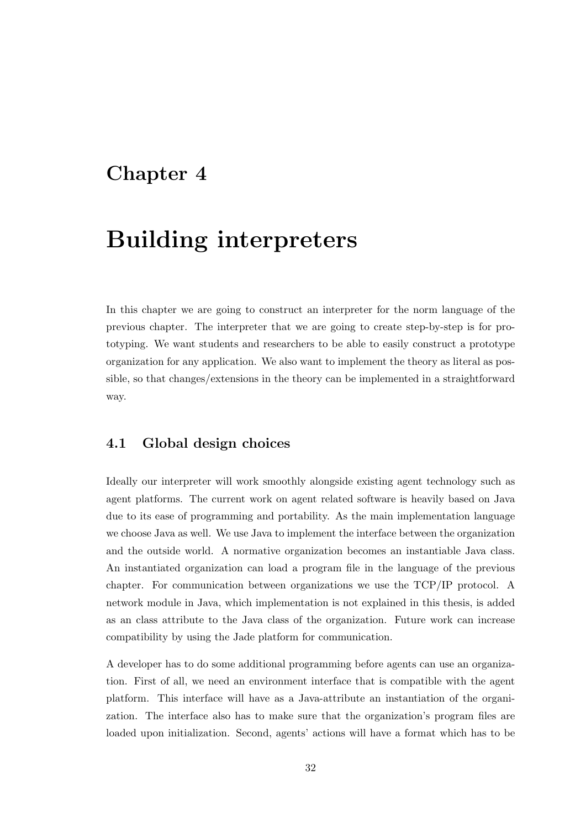## <span id="page-35-0"></span>Chapter 4

## Building interpreters

In this chapter we are going to construct an interpreter for the norm language of the previous chapter. The interpreter that we are going to create step-by-step is for prototyping. We want students and researchers to be able to easily construct a prototype organization for any application. We also want to implement the theory as literal as possible, so that changes/extensions in the theory can be implemented in a straightforward way.

## <span id="page-35-1"></span>4.1 Global design choices

Ideally our interpreter will work smoothly alongside existing agent technology such as agent platforms. The current work on agent related software is heavily based on Java due to its ease of programming and portability. As the main implementation language we choose Java as well. We use Java to implement the interface between the organization and the outside world. A normative organization becomes an instantiable Java class. An instantiated organization can load a program file in the language of the previous chapter. For communication between organizations we use the TCP/IP protocol. A network module in Java, which implementation is not explained in this thesis, is added as an class attribute to the Java class of the organization. Future work can increase compatibility by using the Jade platform for communication.

A developer has to do some additional programming before agents can use an organization. First of all, we need an environment interface that is compatible with the agent platform. This interface will have as a Java-attribute an instantiation of the organization. The interface also has to make sure that the organization's program files are loaded upon initialization. Second, agents' actions will have a format which has to be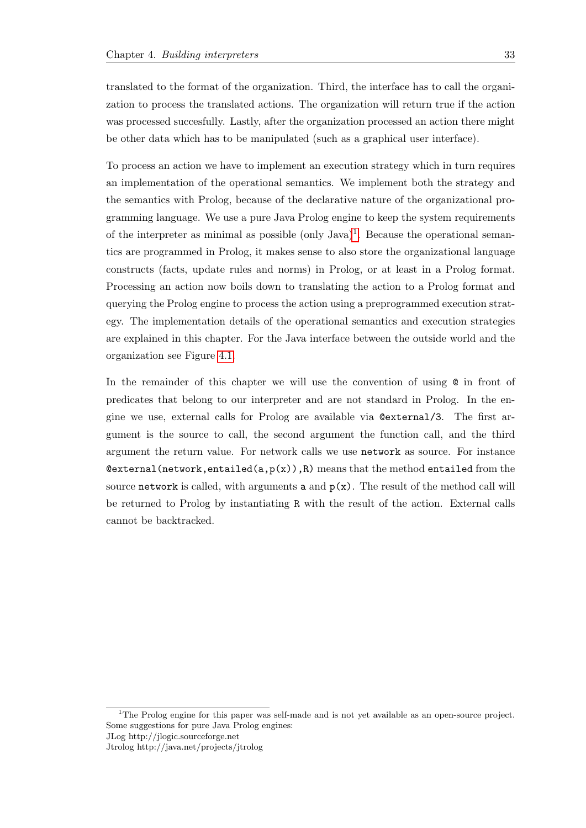translated to the format of the organization. Third, the interface has to call the organization to process the translated actions. The organization will return true if the action was processed succesfully. Lastly, after the organization processed an action there might be other data which has to be manipulated (such as a graphical user interface).

To process an action we have to implement an execution strategy which in turn requires an implementation of the operational semantics. We implement both the strategy and the semantics with Prolog, because of the declarative nature of the organizational programming language. We use a pure Java Prolog engine to keep the system requirements of the interpreter as minimal as possible  $(\text{only Java})^1$  $(\text{only Java})^1$ . Because the operational semantics are programmed in Prolog, it makes sense to also store the organizational language constructs (facts, update rules and norms) in Prolog, or at least in a Prolog format. Processing an action now boils down to translating the action to a Prolog format and querying the Prolog engine to process the action using a preprogrammed execution strategy. The implementation details of the operational semantics and execution strategies are explained in this chapter. For the Java interface between the outside world and the organization see Figure [4.1.](#page-37-1)

In the remainder of this chapter we will use the convention of using  $\mathcal Q$  in front of predicates that belong to our interpreter and are not standard in Prolog. In the engine we use, external calls for Prolog are available via @external/3. The first argument is the source to call, the second argument the function call, and the third argument the return value. For network calls we use network as source. For instance  $Q$ external(network, entailed(a,p(x)),R) means that the method entailed from the source network is called, with arguments a and  $p(x)$ . The result of the method call will be returned to Prolog by instantiating R with the result of the action. External calls cannot be backtracked.

Jtrolog http://java.net/projects/jtrolog

<span id="page-36-0"></span><sup>&</sup>lt;sup>1</sup>The Prolog engine for this paper was self-made and is not yet available as an open-source project. Some suggestions for pure Java Prolog engines: JLog http://jlogic.sourceforge.net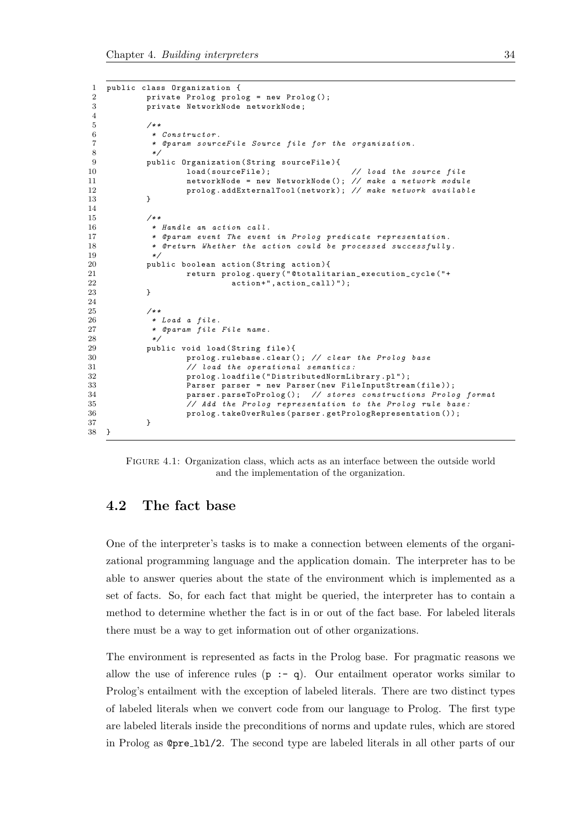```
1 public class Organization {
              private Prolog prolog = new Prolog();
 3 private NetworkNode networkNode ;
 4
 \begin{array}{ccc} 5 & & \nearrow \ast \ast \\ 6 & & \ast \end{array}6 * Constructor .
 7 * @param sourceFile Source file for the organization .
 8 */
9 public Organization (String sourceFile){<br>10 10ad (sourceFile);
                                                                 // load the source file
11 11 networkNode = new NetworkNode (); // make a network module<br>12 12 prolog.addExternalTool(network); // make network availabl
              prolog.addExternalTool(network); // make network available }
13 }
14
15 /**
16 * Handle an action call.<br>17 * @param event The event
17 * ©param event The event in Prolog predicate representation.<br>18 * @return Whether the action could be processed successfully
               * @return Whether the action could be processed successfully.
19 */
20 public boolean action (String action) {<br>21 meturn prolog.query ("@totalit
                        return prolog.query("@totalitarian_execution_cycle("+
22 action + ", action_call ) " );<br>23 }
23 }
24
25 /**<br>26 *
               26 * Load a file .
27 * Oparam file File name.
28 */
29 public void load (String file) {
30 prolog.rulebase.clear(); // clear the Prolog base<br>31 // load the operational semantics:
31 // load the operational semantics:<br>32 prolog.loadfile ("DistributedNormLi
32 prolog.loadfile ("DistributedNormLibrary.pl");<br>33 Parser parser = new Parser (new FileInputStrea
                        Parser parser = new Parser (new FileInputStream (file));
34 parser . parseToProlog(); // stores constructions Prolog format<br>35 // Add the Prolog representation to the Prolog rule base:
                        1/ Add the Prolog representation to the Prolog rule base:
36 prolog . takeOverRules ( parser . getPrologRepresentation ());
37 }
38 }
```
Figure 4.1: Organization class, which acts as an interface between the outside world and the implementation of the organization.

## <span id="page-37-0"></span>4.2 The fact base

One of the interpreter's tasks is to make a connection between elements of the organizational programming language and the application domain. The interpreter has to be able to answer queries about the state of the environment which is implemented as a set of facts. So, for each fact that might be queried, the interpreter has to contain a method to determine whether the fact is in or out of the fact base. For labeled literals there must be a way to get information out of other organizations.

The environment is represented as facts in the Prolog base. For pragmatic reasons we allow the use of inference rules  $(p - q)$ . Our entailment operator works similar to Prolog's entailment with the exception of labeled literals. There are two distinct types of labeled literals when we convert code from our language to Prolog. The first type are labeled literals inside the preconditions of norms and update rules, which are stored in Prolog as @pre lbl/2. The second type are labeled literals in all other parts of our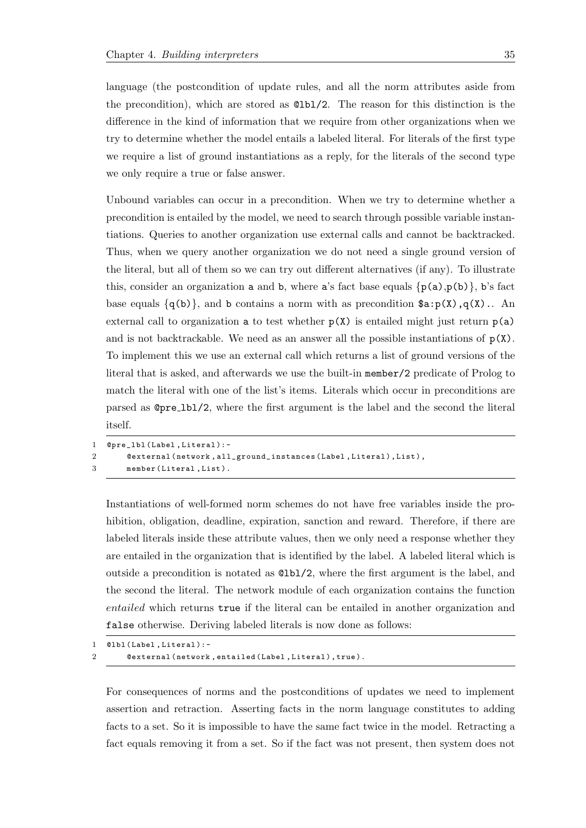language (the postcondition of update rules, and all the norm attributes aside from the precondition), which are stored as @lbl/2. The reason for this distinction is the difference in the kind of information that we require from other organizations when we try to determine whether the model entails a labeled literal. For literals of the first type we require a list of ground instantiations as a reply, for the literals of the second type we only require a true or false answer.

Unbound variables can occur in a precondition. When we try to determine whether a precondition is entailed by the model, we need to search through possible variable instantiations. Queries to another organization use external calls and cannot be backtracked. Thus, when we query another organization we do not need a single ground version of the literal, but all of them so we can try out different alternatives (if any). To illustrate this, consider an organization **a** and **b**, where **a**'s fact base equals  $\{p(a),p(b)\}\$ , **b**'s fact base equals  $\{q(b)\}\$ , and b contains a norm with as precondition  $a : p(X), q(X)$ .. An external call to organization **a** to test whether  $p(X)$  is entailed might just return  $p(a)$ and is not backtrackable. We need as an answer all the possible instantiations of  $p(X)$ . To implement this we use an external call which returns a list of ground versions of the literal that is asked, and afterwards we use the built-in member/2 predicate of Prolog to match the literal with one of the list's items. Literals which occur in preconditions are parsed as @pre lbl/2, where the first argument is the label and the second the literal itself.

```
1 Opre_1bl (Label, Literal) :-
2 Cexternal (network, all_ground_instances (Label, Literal), List),
3 member (Literal, List).
```
Instantiations of well-formed norm schemes do not have free variables inside the prohibition, obligation, deadline, expiration, sanction and reward. Therefore, if there are labeled literals inside these attribute values, then we only need a response whether they are entailed in the organization that is identified by the label. A labeled literal which is outside a precondition is notated as @lbl/2, where the first argument is the label, and the second the literal. The network module of each organization contains the function entailed which returns true if the literal can be entailed in another organization and false otherwise. Deriving labeled literals is now done as follows:

```
1 0lbl (Label, Literal):-
2 @external ( network , entailed ( Label , Literal ), true ).
```
For consequences of norms and the postconditions of updates we need to implement assertion and retraction. Asserting facts in the norm language constitutes to adding facts to a set. So it is impossible to have the same fact twice in the model. Retracting a fact equals removing it from a set. So if the fact was not present, then system does not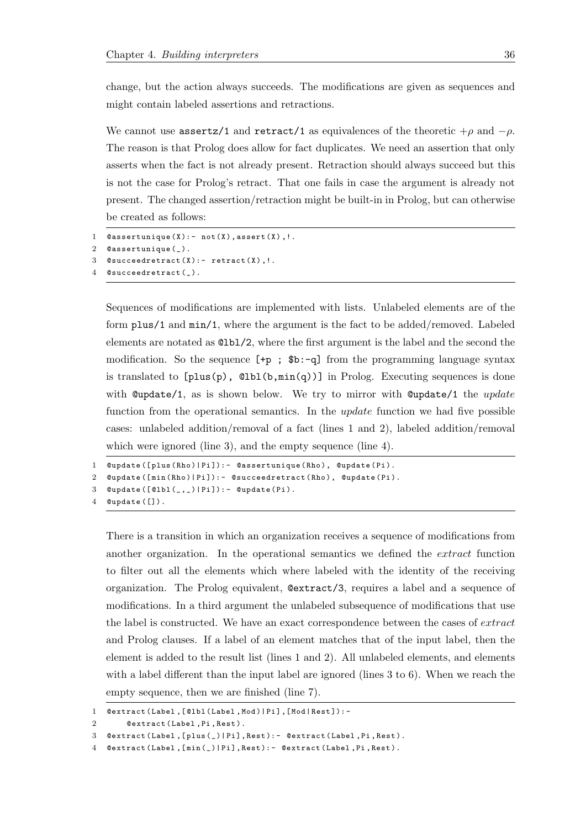change, but the action always succeeds. The modifications are given as sequences and might contain labeled assertions and retractions.

We cannot use assertz/1 and retract/1 as equivalences of the theoretic  $+\rho$  and  $-\rho$ . The reason is that Prolog does allow for fact duplicates. We need an assertion that only asserts when the fact is not already present. Retraction should always succeed but this is not the case for Prolog's retract. That one fails in case the argument is already not present. The changed assertion/retraction might be built-in in Prolog, but can otherwise be created as follows:

```
@assertunique(X): - not(X), assert(X), !.
2 Cassertunique (_).
3 @succeedretract(X):- retract(X), !.
4 @succeedretract().
```
Sequences of modifications are implemented with lists. Unlabeled elements are of the form plus/1 and min/1, where the argument is the fact to be added/removed. Labeled elements are notated as @lbl/2, where the first argument is the label and the second the modification. So the sequence  $[ +p ; *b : -q ]$  from the programming language syntax is translated to  $[p\text{lus}(p), \text{Qbb}(b,\text{min}(q))]$  in Prolog. Executing sequences is done with  $\omega$  update/1, as is shown below. We try to mirror with  $\omega$  update/1 the update function from the operational semantics. In the *update* function we had five possible cases: unlabeled addition/removal of a fact (lines 1 and 2), labeled addition/removal which were ignored (line 3), and the empty sequence (line 4).

```
1 @update ([plus (Rho)| Pi]): - @assertunique (Rho), @update (Pi).
2 @update ([min (Rho)| Pi]): - @succeedretract (Rho), @update (Pi).
```

```
3 Qupdate ([Q1b1(_-,]|Pi]):- Qupdate (Pi).
```
4 @update ([]).

There is a transition in which an organization receives a sequence of modifications from another organization. In the operational semantics we defined the extract function to filter out all the elements which where labeled with the identity of the receiving organization. The Prolog equivalent, @extract/3, requires a label and a sequence of modifications. In a third argument the unlabeled subsequence of modifications that use the label is constructed. We have an exact correspondence between the cases of *extract* and Prolog clauses. If a label of an element matches that of the input label, then the element is added to the result list (lines 1 and 2). All unlabeled elements, and elements with a label different than the input label are ignored (lines 3 to 6). When we reach the empty sequence, then we are finished (line 7).

```
1 Oextract (Label, [@lbl (Label, Mod) | Pi], [Mod | Rest]): -
```

```
2 Oextract (Label, Pi, Rest).
```

```
3 @extract ( Label ,[ plus (_ )| Pi ], Rest ): - @extract ( Label ,Pi , Rest ).
```

```
4 @extract ( Label ,[ min (_ )| Pi ], Rest ): - @extract ( Label , Pi , Rest ).
```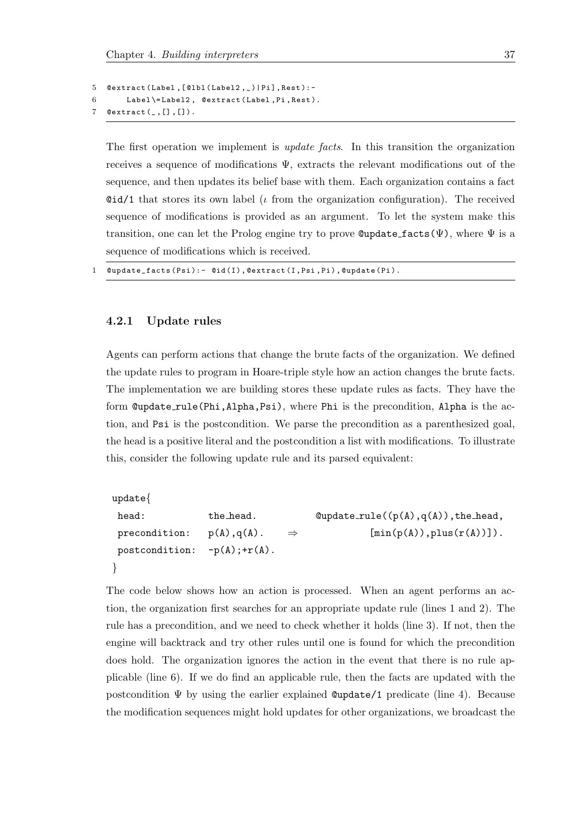```
5 @extract (Label, [@lbl (Label2, _) | Pi], Rest): -
6 Label \= Label2 , @extract ( Label ,Pi , Rest ).
7 Qextract([],[]).
```
The first operation we implement is *update facts*. In this transition the organization receives a sequence of modifications  $\Psi$ , extracts the relevant modifications out of the sequence, and then updates its belief base with them. Each organization contains a fact  $\ddot{\text{e}}$ id/1 that stores its own label (*i* from the organization configuration). The received sequence of modifications is provided as an argument. To let the system make this transition, one can let the Prolog engine try to prove  $\mathbb{Q}$  update facts( $\Psi$ ), where  $\Psi$  is a sequence of modifications which is received.

1 @update\_facts ( Psi ): - @id (I) , @extract (I , Psi , Pi ) , @update ( Pi ).

#### <span id="page-40-0"></span>4.2.1 Update rules

Agents can perform actions that change the brute facts of the organization. We defined the update rules to program in Hoare-triple style how an action changes the brute facts. The implementation we are building stores these update rules as facts. They have the form @update\_rule(Phi,Alpha,Psi), where Phi is the precondition, Alpha is the action, and Psi is the postcondition. We parse the precondition as a parenthesized goal, the head is a positive literal and the postcondition a list with modifications. To illustrate this, consider the following update rule and its parsed equivalent:

```
update{
head: the head. Qupdate rule((p(A), q(A)), the head,
precondition: p(A), q(A). \Rightarrow [\min(p(A)), \text{plus}(r(A))].
postcondition: -p(A);+r(A).
}
```
The code below shows how an action is processed. When an agent performs an action, the organization first searches for an appropriate update rule (lines 1 and 2). The rule has a precondition, and we need to check whether it holds (line 3). If not, then the engine will backtrack and try other rules until one is found for which the precondition does hold. The organization ignores the action in the event that there is no rule applicable (line 6). If we do find an applicable rule, then the facts are updated with the postcondition  $\Psi$  by using the earlier explained **@update**/1 predicate (line 4). Because the modification sequences might hold updates for other organizations, we broadcast the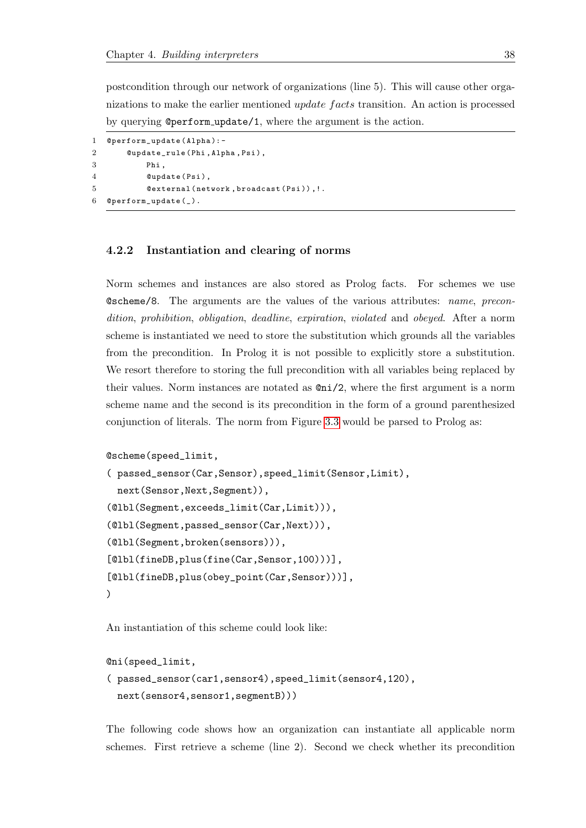postcondition through our network of organizations (line 5). This will cause other organizations to make the earlier mentioned *update facts* transition. An action is processed by querying @perform update/1, where the argument is the action.

```
1 @perform_update ( Alpha ): -
2 @update_rule ( Phi , Alpha , Psi ),
3 Phi ,
4 @update (Psi),
5 @external (network, broadcast (Psi)), !.
6 @perform\_update( _).
```
#### <span id="page-41-0"></span>4.2.2 Instantiation and clearing of norms

Norm schemes and instances are also stored as Prolog facts. For schemes we use @scheme/8. The arguments are the values of the various attributes: name, precondition, prohibition, obligation, deadline, expiration, violated and obeyed. After a norm scheme is instantiated we need to store the substitution which grounds all the variables from the precondition. In Prolog it is not possible to explicitly store a substitution. We resort therefore to storing the full precondition with all variables being replaced by their values. Norm instances are notated as @ni/2, where the first argument is a norm scheme name and the second is its precondition in the form of a ground parenthesized conjunction of literals. The norm from Figure [3.3](#page-25-0) would be parsed to Prolog as:

```
@scheme(speed_limit,
( passed_sensor(Car,Sensor),speed_limit(Sensor,Limit),
  next(Sensor,Next,Segment)),
(@lbl(Segment,exceeds_limit(Car,Limit))),
(@lbl(Segment,passed_sensor(Car,Next))),
(@lbl(Segment,broken(sensors))),
[@lbl(fineDB,plus(fine(Car,Sensor,100)))],
[@lbl(fineDB,plus(obey_point(Car,Sensor)))],
)
```
An instantiation of this scheme could look like:

```
@ni(speed_limit,
```

```
( passed_sensor(car1,sensor4),speed_limit(sensor4,120),
 next(sensor4,sensor1,segmentB)))
```
The following code shows how an organization can instantiate all applicable norm schemes. First retrieve a scheme (line 2). Second we check whether its precondition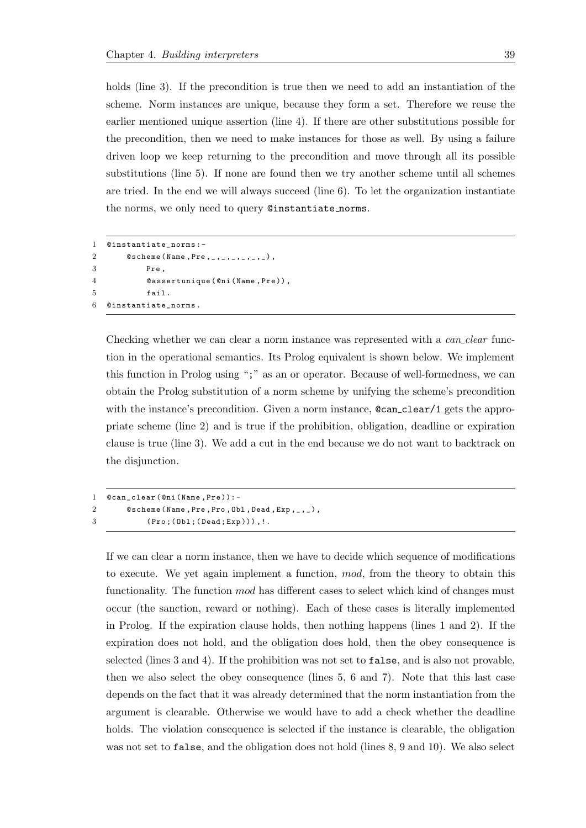holds (line 3). If the precondition is true then we need to add an instantiation of the scheme. Norm instances are unique, because they form a set. Therefore we reuse the earlier mentioned unique assertion (line 4). If there are other substitutions possible for the precondition, then we need to make instances for those as well. By using a failure driven loop we keep returning to the precondition and move through all its possible substitutions (line 5). If none are found then we try another scheme until all schemes are tried. In the end we will always succeed (line 6). To let the organization instantiate the norms, we only need to query @instantiate norms.

```
1 @instantiate_norms : -
2 0scheme (Name, Pre, _, _, _, _, _, _),
3 Pre ,
4 @assertunique ( @ni ( Name , Pre )) ,
5 fail .
6 @instantiate_norms .
```
Checking whether we can clear a norm instance was represented with a *can\_clear* function in the operational semantics. Its Prolog equivalent is shown below. We implement this function in Prolog using ";" as an or operator. Because of well-formedness, we can obtain the Prolog substitution of a norm scheme by unifying the scheme's precondition with the instance's precondition. Given a norm instance,  $\mathcal{C}can\_clear/1$  gets the appropriate scheme (line 2) and is true if the prohibition, obligation, deadline or expiration clause is true (line 3). We add a cut in the end because we do not want to backtrack on the disjunction.

```
1 @can_clear (@ni (Name, Pre)):-
2 @scheme (Name, Pre, Pro, Obl, Dead, Exp, _, _),
3 ( Pro ;( Obl ;( Dead ; Exp ))) ,!.
```
If we can clear a norm instance, then we have to decide which sequence of modifications to execute. We yet again implement a function, mod, from the theory to obtain this functionality. The function mod has different cases to select which kind of changes must occur (the sanction, reward or nothing). Each of these cases is literally implemented in Prolog. If the expiration clause holds, then nothing happens (lines 1 and 2). If the expiration does not hold, and the obligation does hold, then the obey consequence is selected (lines 3 and 4). If the prohibition was not set to false, and is also not provable, then we also select the obey consequence (lines 5, 6 and 7). Note that this last case depends on the fact that it was already determined that the norm instantiation from the argument is clearable. Otherwise we would have to add a check whether the deadline holds. The violation consequence is selected if the instance is clearable, the obligation was not set to false, and the obligation does not hold (lines 8, 9 and 10). We also select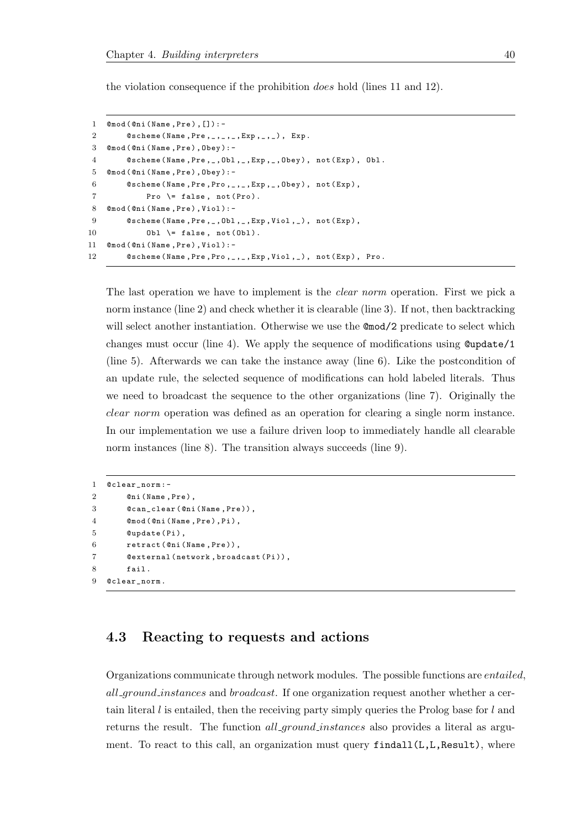the violation consequence if the prohibition does hold (lines 11 and 12).

```
1 @mod (@ni (Name, Pre), []):-
2 0scheme (Name, Pre, _, _, _, Exp, _, _), Exp.
3 @mod ( @ni ( Name , Pre ), Obey ): -
4 @scheme (Name, Pre, _, Obl, _, Exp, _, Obey), not (Exp), Obl.
5 @mod ( @ni ( Name , Pre ), Obey ): -
6 @scheme (Name, Pre, Pro, _, _, Exp, _, Obey), not (Exp),
7 Pro \lvert false, not (Pro).
8 Omod ( Oni ( Name, Pre ), Viol ) :-
9 @scheme (Name, Pre, _, Obl, _, Exp, Viol, _), not (Exp),
10 0b1 \= false, not (0b1).
11 Omod ( Oni ( Name, Pre ), Viol ) :-
12 @scheme (Name, Pre, Pro, _, _, Exp, Viol, _), not (Exp), Pro.
```
The last operation we have to implement is the *clear norm* operation. First we pick a norm instance (line 2) and check whether it is clearable (line 3). If not, then backtracking will select another instantiation. Otherwise we use the  $\mathbb{C}$  mod/2 predicate to select which changes must occur (line 4). We apply the sequence of modifications using  $\mathcal{Q}$ update/1 (line 5). Afterwards we can take the instance away (line 6). Like the postcondition of an update rule, the selected sequence of modifications can hold labeled literals. Thus we need to broadcast the sequence to the other organizations (line 7). Originally the clear norm operation was defined as an operation for clearing a single norm instance. In our implementation we use a failure driven loop to immediately handle all clearable norm instances (line 8). The transition always succeeds (line 9).

```
1 @clear_norm :-
2 Oni (Name, Pre),
3 @can_clear ( @ni ( Name , Pre )) ,
4 @mod ( @ni ( Name , Pre ), Pi ),
5 @update (Pi),
6 retract ( Oni ( Name, Pre ) ),
7 @external ( network , broadcast ( Pi )) ,
8 fail .
9 @clear_norm .
```
## <span id="page-43-0"></span>4.3 Reacting to requests and actions

Organizations communicate through network modules. The possible functions are entailed, all ground instances and broadcast. If one organization request another whether a certain literal  $l$  is entailed, then the receiving party simply queries the Prolog base for  $l$  and returns the result. The function *all ground instances* also provides a literal as argument. To react to this call, an organization must query findall(L,L,Result), where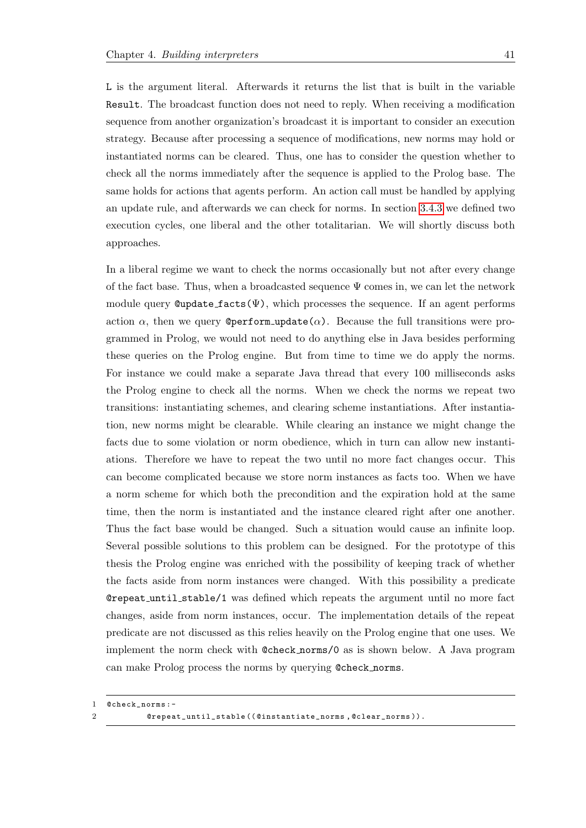L is the argument literal. Afterwards it returns the list that is built in the variable Result. The broadcast function does not need to reply. When receiving a modification sequence from another organization's broadcast it is important to consider an execution strategy. Because after processing a sequence of modifications, new norms may hold or instantiated norms can be cleared. Thus, one has to consider the question whether to check all the norms immediately after the sequence is applied to the Prolog base. The same holds for actions that agents perform. An action call must be handled by applying an update rule, and afterwards we can check for norms. In section [3.4.3](#page-31-0) we defined two execution cycles, one liberal and the other totalitarian. We will shortly discuss both approaches.

In a liberal regime we want to check the norms occasionally but not after every change of the fact base. Thus, when a broadcasted sequence  $\Psi$  comes in, we can let the network module query  $\mathbf{Quptate}\_ \mathbf{facts}(\Psi)$ , which processes the sequence. If an agent performs action  $\alpha$ , then we query **@perform\_update(** $\alpha$ **)**. Because the full transitions were programmed in Prolog, we would not need to do anything else in Java besides performing these queries on the Prolog engine. But from time to time we do apply the norms. For instance we could make a separate Java thread that every 100 milliseconds asks the Prolog engine to check all the norms. When we check the norms we repeat two transitions: instantiating schemes, and clearing scheme instantiations. After instantiation, new norms might be clearable. While clearing an instance we might change the facts due to some violation or norm obedience, which in turn can allow new instantiations. Therefore we have to repeat the two until no more fact changes occur. This can become complicated because we store norm instances as facts too. When we have a norm scheme for which both the precondition and the expiration hold at the same time, then the norm is instantiated and the instance cleared right after one another. Thus the fact base would be changed. Such a situation would cause an infinite loop. Several possible solutions to this problem can be designed. For the prototype of this thesis the Prolog engine was enriched with the possibility of keeping track of whether the facts aside from norm instances were changed. With this possibility a predicate @repeat until stable/1 was defined which repeats the argument until no more fact changes, aside from norm instances, occur. The implementation details of the repeat predicate are not discussed as this relies heavily on the Prolog engine that one uses. We implement the norm check with @check norms/0 as is shown below. A Java program can make Prolog process the norms by querying @check norms.

<sup>1</sup> @check\_norms :-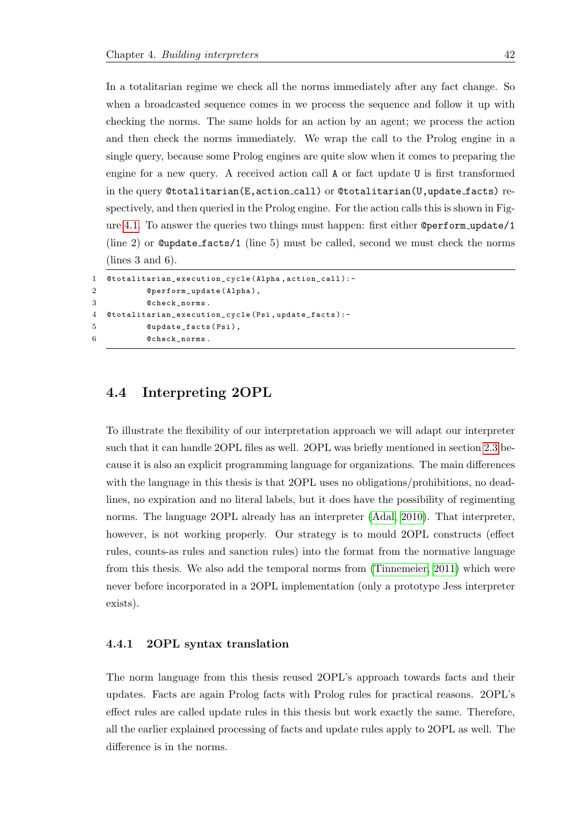In a totalitarian regime we check all the norms immediately after any fact change. So when a broadcasted sequence comes in we process the sequence and follow it up with checking the norms. The same holds for an action by an agent; we process the action and then check the norms immediately. We wrap the call to the Prolog engine in a single query, because some Prolog engines are quite slow when it comes to preparing the engine for a new query. A received action call A or fact update U is first transformed in the query @totalitarian(E,action call) or @totalitarian(U,update facts) respectively, and then queried in the Prolog engine. For the action calls this is shown in Figure [4.1.](#page-37-1) To answer the queries two things must happen: first either @perform update/1 (line 2) or @update facts/1 (line 5) must be called, second we must check the norms (lines 3 and 6).

```
1 @totalitarian_execution_cycle ( Alpha , action_call ): -
2 @perform_update (Alpha),
3 @check_norms .
4 @totalitarian_execution_cycle ( Psi , update_facts ): -
5 @update_facts (Psi),
6 @check_norms.
```
## <span id="page-45-0"></span>4.4 Interpreting 2OPL

To illustrate the flexibility of our interpretation approach we will adapt our interpreter such that it can handle 2OPL files as well. 2OPL was briefly mentioned in section [2.3](#page-13-0) because it is also an explicit programming language for organizations. The main differences with the language in this thesis is that 2OPL uses no obligations/prohibitions, no deadlines, no expiration and no literal labels, but it does have the possibility of regimenting norms. The language 2OPL already has an interpreter [\(Adal, 2010\)](#page-53-10). That interpreter, however, is not working properly. Our strategy is to mould 2OPL constructs (effect rules, counts-as rules and sanction rules) into the format from the normative language from this thesis. We also add the temporal norms from [\(Tinnemeier, 2011\)](#page-56-6) which were never before incorporated in a 2OPL implementation (only a prototype Jess interpreter exists).

#### <span id="page-45-1"></span>4.4.1 2OPL syntax translation

The norm language from this thesis reused 2OPL's approach towards facts and their updates. Facts are again Prolog facts with Prolog rules for practical reasons. 2OPL's effect rules are called update rules in this thesis but work exactly the same. Therefore, all the earlier explained processing of facts and update rules apply to 2OPL as well. The difference is in the norms.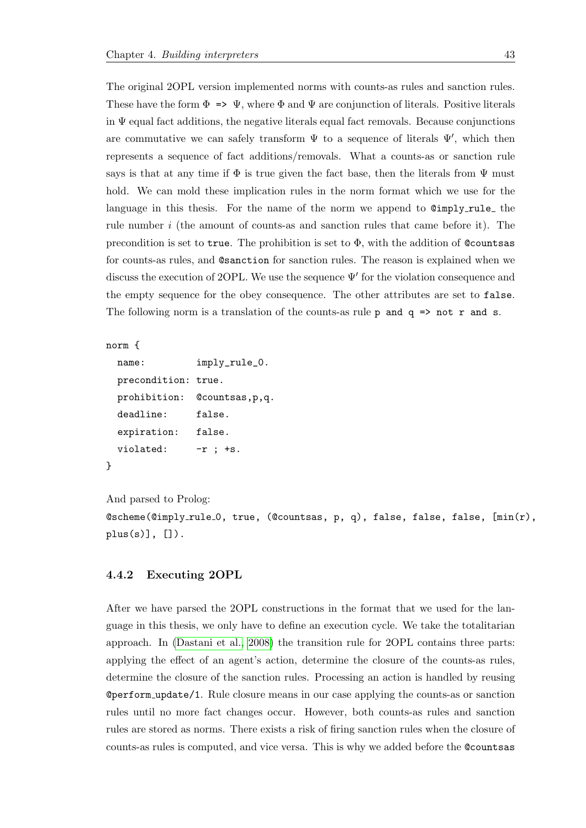The original 2OPL version implemented norms with counts-as rules and sanction rules. These have the form  $\Phi \Rightarrow \Psi$ , where  $\Phi$  and  $\Psi$  are conjunction of literals. Positive literals in  $\Psi$  equal fact additions, the negative literals equal fact removals. Because conjunctions are commutative we can safely transform  $\Psi$  to a sequence of literals  $\Psi'$ , which then represents a sequence of fact additions/removals. What a counts-as or sanction rule says is that at any time if  $\Phi$  is true given the fact base, then the literals from  $\Psi$  must hold. We can mold these implication rules in the norm format which we use for the language in this thesis. For the name of the norm we append to  $Q = \frac{q}{q}$  the rule number i (the amount of counts-as and sanction rules that came before it). The precondition is set to true. The prohibition is set to  $\Phi$ , with the addition of Countsas for counts-as rules, and @sanction for sanction rules. The reason is explained when we discuss the execution of 2OPL. We use the sequence  $\Psi'$  for the violation consequence and the empty sequence for the obey consequence. The other attributes are set to false. The following norm is a translation of the counts-as rule  $p$  and  $q \Rightarrow$  not r and s.

```
norm {
```
}

```
name: imply_rule_0.
precondition: true.
prohibition: @countsas,p,q.
deadline: false.
expiration: false.
violated: -r ; +s.
```
And parsed to Prolog: @scheme(@imply rule 0, true, (@countsas, p, q), false, false, false, [min(r),  $plus(s)]$ ,  $[]$ ).

#### <span id="page-46-0"></span>4.4.2 Executing 2OPL

After we have parsed the 2OPL constructions in the format that we used for the language in this thesis, we only have to define an execution cycle. We take the totalitarian approach. In [\(Dastani et al., 2008\)](#page-54-6) the transition rule for 2OPL contains three parts: applying the effect of an agent's action, determine the closure of the counts-as rules, determine the closure of the sanction rules. Processing an action is handled by reusing @perform update/1. Rule closure means in our case applying the counts-as or sanction rules until no more fact changes occur. However, both counts-as rules and sanction rules are stored as norms. There exists a risk of firing sanction rules when the closure of counts-as rules is computed, and vice versa. This is why we added before the @countsas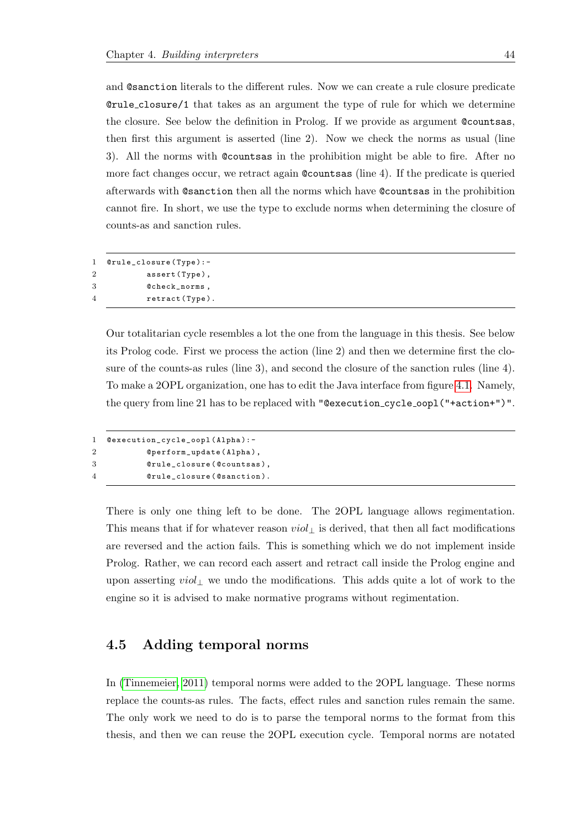and @sanction literals to the different rules. Now we can create a rule closure predicate @rule closure/1 that takes as an argument the type of rule for which we determine the closure. See below the definition in Prolog. If we provide as argument @countsas, then first this argument is asserted (line 2). Now we check the norms as usual (line 3). All the norms with @countsas in the prohibition might be able to fire. After no more fact changes occur, we retract again @countsas (line 4). If the predicate is queried afterwards with @sanction then all the norms which have @countsas in the prohibition cannot fire. In short, we use the type to exclude norms when determining the closure of counts-as and sanction rules.

1 @rule\_closure ( Type ): - 2 assert (Type), 3 @check\_norms , 4 retract (Type).

> Our totalitarian cycle resembles a lot the one from the language in this thesis. See below its Prolog code. First we process the action (line 2) and then we determine first the closure of the counts-as rules (line 3), and second the closure of the sanction rules (line 4). To make a 2OPL organization, one has to edit the Java interface from figure [4.1.](#page-37-1) Namely, the query from line 21 has to be replaced with "@execution\_cycle\_oopl("+action+")".

```
1 @execution_cycle_oopl ( Alpha ): -
2 @perform_update ( Alpha ),
3 @rule_closure ( @countsas ) ,
4 @rule_closure ( @sanction ).
```
There is only one thing left to be done. The 2OPL language allows regimentation. This means that if for whatever reason  $viol_{\perp}$  is derived, that then all fact modifications are reversed and the action fails. This is something which we do not implement inside Prolog. Rather, we can record each assert and retract call inside the Prolog engine and upon asserting  $viol_{\perp}$  we undo the modifications. This adds quite a lot of work to the engine so it is advised to make normative programs without regimentation.

### <span id="page-47-0"></span>4.5 Adding temporal norms

In [\(Tinnemeier, 2011\)](#page-56-6) temporal norms were added to the 2OPL language. These norms replace the counts-as rules. The facts, effect rules and sanction rules remain the same. The only work we need to do is to parse the temporal norms to the format from this thesis, and then we can reuse the 2OPL execution cycle. Temporal norms are notated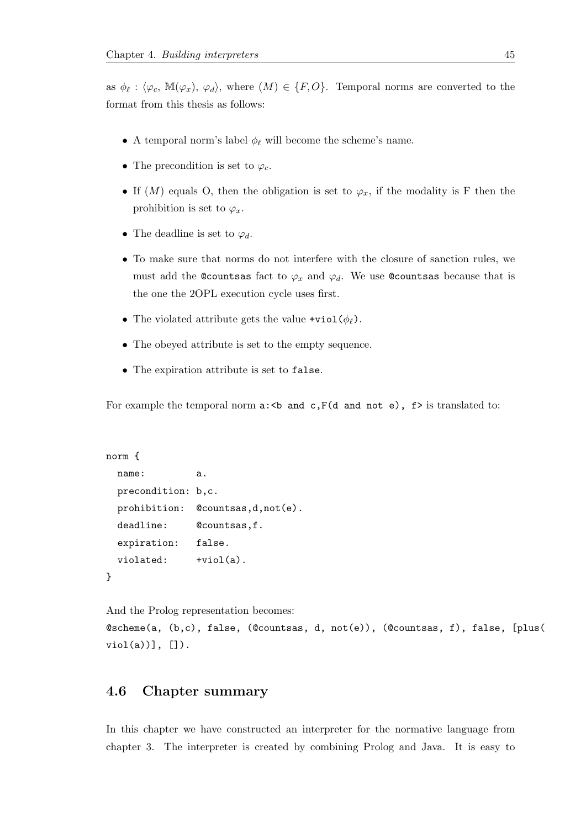as  $\phi_{\ell} : \langle \varphi_c, M(\varphi_x), \varphi_d \rangle$ , where  $(M) \in \{F, O\}$ . Temporal norms are converted to the format from this thesis as follows:

- A temporal norm's label  $\phi_{\ell}$  will become the scheme's name.
- The precondition is set to  $\varphi_c$ .
- If  $(M)$  equals O, then the obligation is set to  $\varphi_x$ , if the modality is F then the prohibition is set to  $\varphi_x$ .
- The deadline is set to  $\varphi_d$ .
- To make sure that norms do not interfere with the closure of sanction rules, we must add the ©countsas fact to  $\varphi_x$  and  $\varphi_d$ . We use ©countsas because that is the one the 2OPL execution cycle uses first.
- The violated attribute gets the value +viol( $\phi_{\ell}$ ).
- The obeyed attribute is set to the empty sequence.
- The expiration attribute is set to false.

For example the temporal norm  $a:\&b$  and  $c,F(d$  and not e),  $f>$  is translated to:

```
norm {
 name: a.
 precondition: b,c.
 prohibition: @countsas,d,not(e).
 deadline: @countsas, f.
 expiration: false.
 violated: +viol(a).
}
```
And the Prolog representation becomes:

@scheme(a, (b,c), false, (@countsas, d, not(e)), (@countsas, f), false, [plus(  $viol(a))$ ],  $[]$ ).

## <span id="page-48-0"></span>4.6 Chapter summary

In this chapter we have constructed an interpreter for the normative language from chapter 3. The interpreter is created by combining Prolog and Java. It is easy to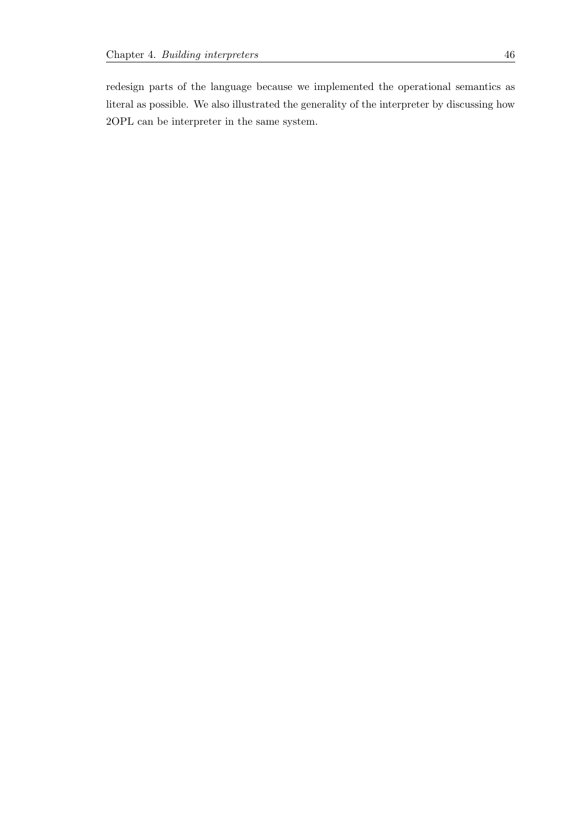redesign parts of the language because we implemented the operational semantics as literal as possible. We also illustrated the generality of the interpreter by discussing how 2OPL can be interpreter in the same system.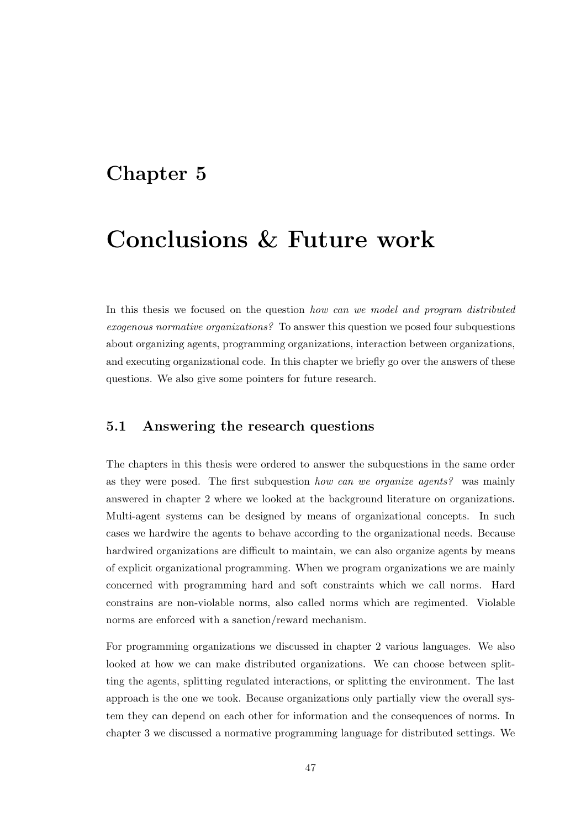## <span id="page-50-0"></span>Chapter 5

# Conclusions & Future work

In this thesis we focused on the question how can we model and program distributed exogenous normative organizations? To answer this question we posed four subquestions about organizing agents, programming organizations, interaction between organizations, and executing organizational code. In this chapter we briefly go over the answers of these questions. We also give some pointers for future research.

## <span id="page-50-1"></span>5.1 Answering the research questions

The chapters in this thesis were ordered to answer the subquestions in the same order as they were posed. The first subquestion how can we organize agents? was mainly answered in chapter 2 where we looked at the background literature on organizations. Multi-agent systems can be designed by means of organizational concepts. In such cases we hardwire the agents to behave according to the organizational needs. Because hardwired organizations are difficult to maintain, we can also organize agents by means of explicit organizational programming. When we program organizations we are mainly concerned with programming hard and soft constraints which we call norms. Hard constrains are non-violable norms, also called norms which are regimented. Violable norms are enforced with a sanction/reward mechanism.

For programming organizations we discussed in chapter 2 various languages. We also looked at how we can make distributed organizations. We can choose between splitting the agents, splitting regulated interactions, or splitting the environment. The last approach is the one we took. Because organizations only partially view the overall system they can depend on each other for information and the consequences of norms. In chapter 3 we discussed a normative programming language for distributed settings. We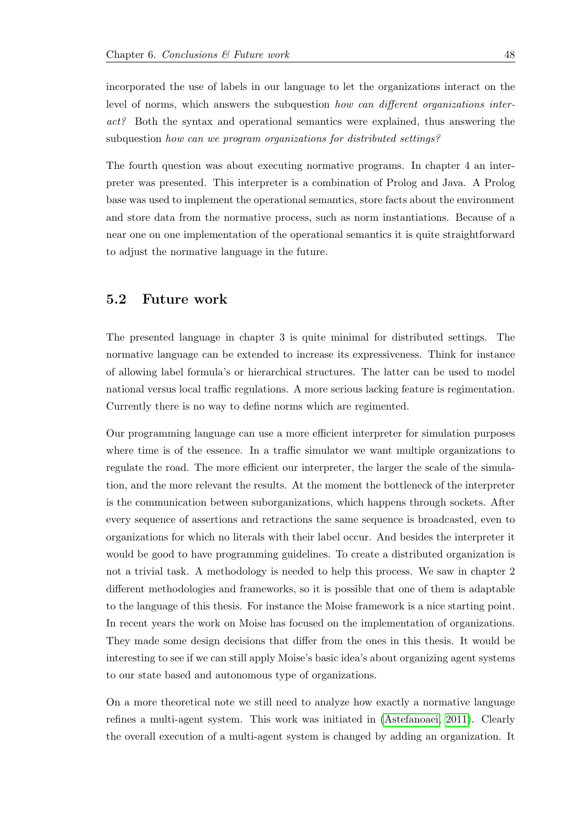incorporated the use of labels in our language to let the organizations interact on the level of norms, which answers the subquestion how can different organizations interact? Both the syntax and operational semantics were explained, thus answering the subquestion how can we program organizations for distributed settings?

The fourth question was about executing normative programs. In chapter 4 an interpreter was presented. This interpreter is a combination of Prolog and Java. A Prolog base was used to implement the operational semantics, store facts about the environment and store data from the normative process, such as norm instantiations. Because of a near one on one implementation of the operational semantics it is quite straightforward to adjust the normative language in the future.

## <span id="page-51-0"></span>5.2 Future work

The presented language in chapter 3 is quite minimal for distributed settings. The normative language can be extended to increase its expressiveness. Think for instance of allowing label formula's or hierarchical structures. The latter can be used to model national versus local traffic regulations. A more serious lacking feature is regimentation. Currently there is no way to define norms which are regimented.

Our programming language can use a more efficient interpreter for simulation purposes where time is of the essence. In a traffic simulator we want multiple organizations to regulate the road. The more efficient our interpreter, the larger the scale of the simulation, and the more relevant the results. At the moment the bottleneck of the interpreter is the communication between suborganizations, which happens through sockets. After every sequence of assertions and retractions the same sequence is broadcasted, even to organizations for which no literals with their label occur. And besides the interpreter it would be good to have programming guidelines. To create a distributed organization is not a trivial task. A methodology is needed to help this process. We saw in chapter 2 different methodologies and frameworks, so it is possible that one of them is adaptable to the language of this thesis. For instance the Moise framework is a nice starting point. In recent years the work on Moise has focused on the implementation of organizations. They made some design decisions that differ from the ones in this thesis. It would be interesting to see if we can still apply Moise's basic idea's about organizing agent systems to our state based and autonomous type of organizations.

On a more theoretical note we still need to analyze how exactly a normative language refines a multi-agent system. This work was initiated in [\(Astefanoaei, 2011\)](#page-53-6). Clearly the overall execution of a multi-agent system is changed by adding an organization. It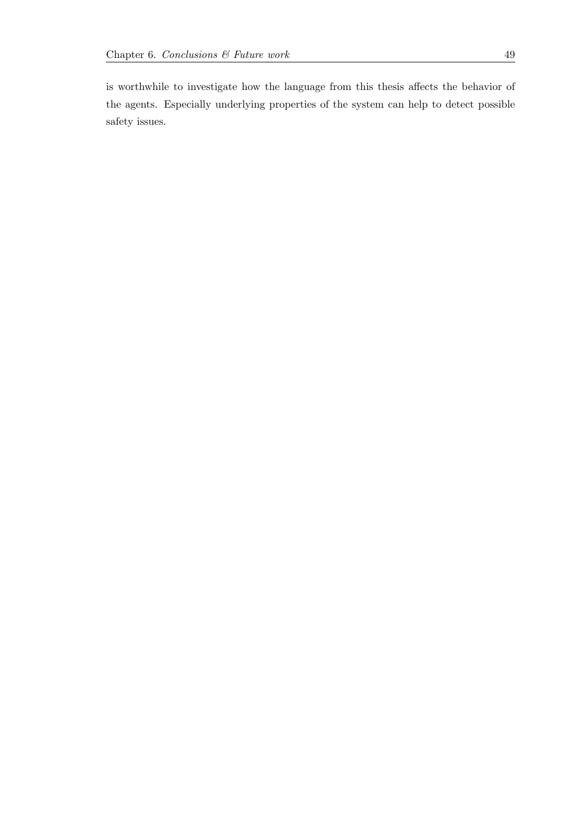is worthwhile to investigate how the language from this thesis affects the behavior of the agents. Especially underlying properties of the system can help to detect possible safety issues.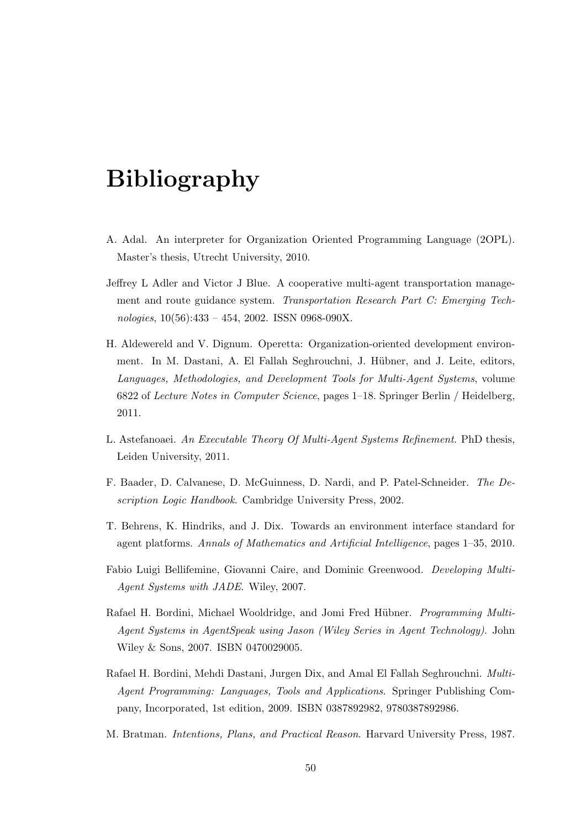# <span id="page-53-0"></span>Bibliography

- <span id="page-53-10"></span>A. Adal. An interpreter for Organization Oriented Programming Language (2OPL). Master's thesis, Utrecht University, 2010.
- <span id="page-53-7"></span>Jeffrey L Adler and Victor J Blue. A cooperative multi-agent transportation management and route guidance system. Transportation Research Part C: Emerging Technologies,  $10(56):433 - 454$ , 2002. ISSN 0968-090X.
- <span id="page-53-8"></span>H. Aldewereld and V. Dignum. Operetta: Organization-oriented development environment. In M. Dastani, A. El Fallah Seghrouchni, J. Hübner, and J. Leite, editors, Languages, Methodologies, and Development Tools for Multi-Agent Systems, volume 6822 of Lecture Notes in Computer Science, pages 1–18. Springer Berlin / Heidelberg, 2011.
- <span id="page-53-6"></span>L. Astefanoaei. An Executable Theory Of Multi-Agent Systems Refinement. PhD thesis, Leiden University, 2011.
- <span id="page-53-9"></span>F. Baader, D. Calvanese, D. McGuinness, D. Nardi, and P. Patel-Schneider. The Description Logic Handbook. Cambridge University Press, 2002.
- <span id="page-53-2"></span>T. Behrens, K. Hindriks, and J. Dix. Towards an environment interface standard for agent platforms. Annals of Mathematics and Artificial Intelligence, pages 1–35, 2010.
- <span id="page-53-5"></span>Fabio Luigi Bellifemine, Giovanni Caire, and Dominic Greenwood. Developing Multi-Agent Systems with JADE. Wiley, 2007.
- <span id="page-53-3"></span>Rafael H. Bordini, Michael Wooldridge, and Jomi Fred Hübner. *Programming Multi-*Agent Systems in AgentSpeak using Jason (Wiley Series in Agent Technology). John Wiley & Sons, 2007. ISBN 0470029005.
- <span id="page-53-4"></span>Rafael H. Bordini, Mehdi Dastani, Jurgen Dix, and Amal El Fallah Seghrouchni. Multi-Agent Programming: Languages, Tools and Applications. Springer Publishing Company, Incorporated, 1st edition, 2009. ISBN 0387892982, 9780387892986.
- <span id="page-53-1"></span>M. Bratman. Intentions, Plans, and Practical Reason. Harvard University Press, 1987.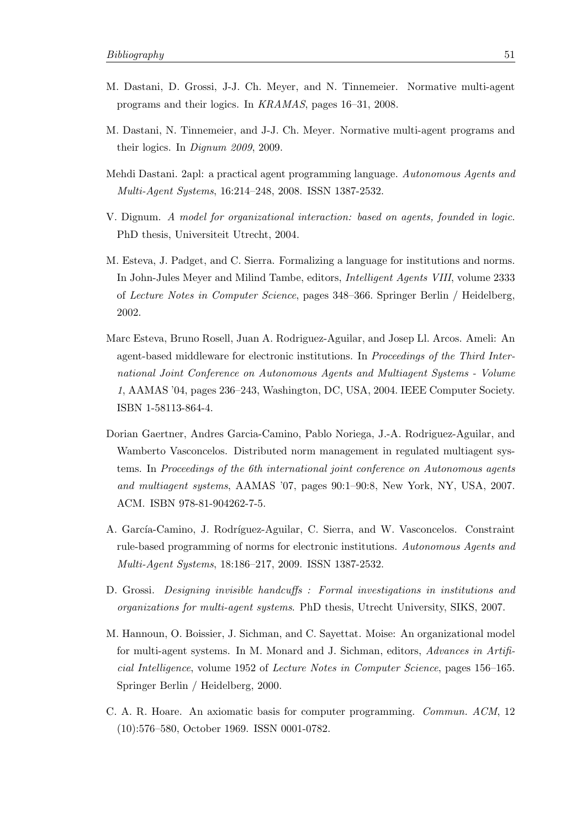- <span id="page-54-6"></span>M. Dastani, D. Grossi, J-J. Ch. Meyer, and N. Tinnemeier. Normative multi-agent programs and their logics. In KRAMAS, pages 16–31, 2008.
- <span id="page-54-1"></span>M. Dastani, N. Tinnemeier, and J-J. Ch. Meyer. Normative multi-agent programs and their logics. In Dignum 2009, 2009.
- <span id="page-54-0"></span>Mehdi Dastani. 2apl: a practical agent programming language. Autonomous Agents and Multi-Agent Systems, 16:214–248, 2008. ISSN 1387-2532.
- <span id="page-54-2"></span>V. Dignum. A model for organizational interaction: based on agents, founded in logic. PhD thesis, Universiteit Utrecht, 2004.
- <span id="page-54-3"></span>M. Esteva, J. Padget, and C. Sierra. Formalizing a language for institutions and norms. In John-Jules Meyer and Milind Tambe, editors, Intelligent Agents VIII, volume 2333 of Lecture Notes in Computer Science, pages 348–366. Springer Berlin / Heidelberg, 2002.
- <span id="page-54-4"></span>Marc Esteva, Bruno Rosell, Juan A. Rodriguez-Aguilar, and Josep Ll. Arcos. Ameli: An agent-based middleware for electronic institutions. In Proceedings of the Third International Joint Conference on Autonomous Agents and Multiagent Systems - Volume 1, AAMAS '04, pages 236–243, Washington, DC, USA, 2004. IEEE Computer Society. ISBN 1-58113-864-4.
- <span id="page-54-9"></span>Dorian Gaertner, Andres Garcia-Camino, Pablo Noriega, J.-A. Rodriguez-Aguilar, and Wamberto Vasconcelos. Distributed norm management in regulated multiagent systems. In Proceedings of the 6th international joint conference on Autonomous agents and multiagent systems, AAMAS '07, pages 90:1–90:8, New York, NY, USA, 2007. ACM. ISBN 978-81-904262-7-5.
- <span id="page-54-7"></span>A. García-Camino, J. Rodríguez-Aguilar, C. Sierra, and W. Vasconcelos. Constraint rule-based programming of norms for electronic institutions. Autonomous Agents and Multi-Agent Systems, 18:186–217, 2009. ISSN 1387-2532.
- <span id="page-54-8"></span>D. Grossi. Designing invisible handcuffs : Formal investigations in institutions and organizations for multi-agent systems. PhD thesis, Utrecht University, SIKS, 2007.
- <span id="page-54-5"></span>M. Hannoun, O. Boissier, J. Sichman, and C. Sayettat. Moise: An organizational model for multi-agent systems. In M. Monard and J. Sichman, editors, Advances in Artificial Intelligence, volume 1952 of Lecture Notes in Computer Science, pages 156–165. Springer Berlin / Heidelberg, 2000.
- <span id="page-54-10"></span>C. A. R. Hoare. An axiomatic basis for computer programming. Commun. ACM, 12 (10):576–580, October 1969. ISSN 0001-0782.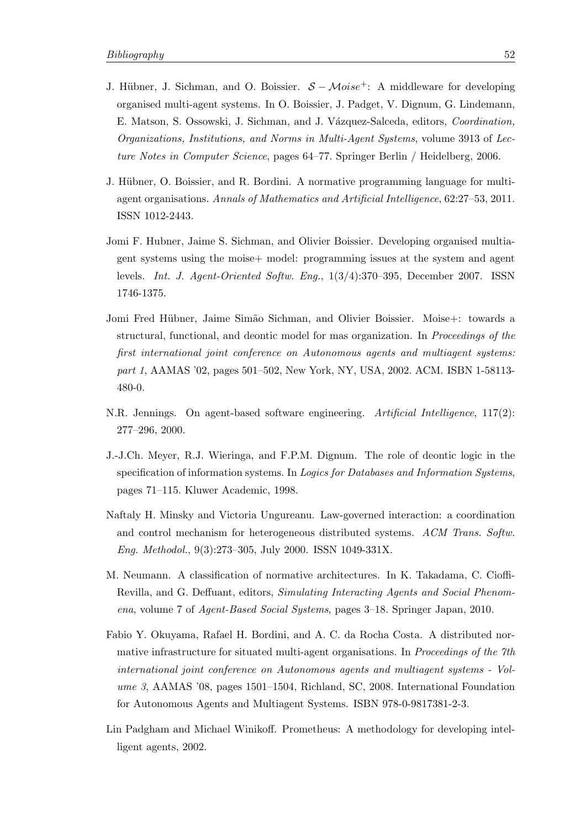- <span id="page-55-3"></span>J. Hübner, J. Sichman, and O. Boissier.  $S - Moise^+$ : A middleware for developing organised multi-agent systems. In O. Boissier, J. Padget, V. Dignum, G. Lindemann, E. Matson, S. Ossowski, J. Sichman, and J. Vázquez-Salceda, editors, Coordination, Organizations, Institutions, and Norms in Multi-Agent Systems, volume 3913 of Lecture Notes in Computer Science, pages 64–77. Springer Berlin / Heidelberg, 2006.
- <span id="page-55-4"></span>J. Hübner, O. Boissier, and R. Bordini. A normative programming language for multiagent organisations. Annals of Mathematics and Artificial Intelligence, 62:27–53, 2011. ISSN 1012-2443.
- <span id="page-55-6"></span>Jomi F. Hubner, Jaime S. Sichman, and Olivier Boissier. Developing organised multiagent systems using the moise+ model: programming issues at the system and agent levels. Int. J. Agent-Oriented Softw. Eng., 1(3/4):370–395, December 2007. ISSN 1746-1375.
- <span id="page-55-5"></span>Jomi Fred Hübner, Jaime Simão Sichman, and Olivier Boissier. Moise+: towards a structural, functional, and deontic model for mas organization. In Proceedings of the first international joint conference on Autonomous agents and multiagent systems: part 1, AAMAS '02, pages 501–502, New York, NY, USA, 2002. ACM. ISBN 1-58113- 480-0.
- <span id="page-55-0"></span>N.R. Jennings. On agent-based software engineering. Artificial Intelligence, 117(2): 277–296, 2000.
- <span id="page-55-7"></span>J.-J.Ch. Meyer, R.J. Wieringa, and F.P.M. Dignum. The role of deontic logic in the specification of information systems. In Logics for Databases and Information Systems, pages 71–115. Kluwer Academic, 1998.
- <span id="page-55-9"></span>Naftaly H. Minsky and Victoria Ungureanu. Law-governed interaction: a coordination and control mechanism for heterogeneous distributed systems. ACM Trans. Softw. Eng. Methodol., 9(3):273–305, July 2000. ISSN 1049-331X.
- <span id="page-55-2"></span>M. Neumann. A classification of normative architectures. In K. Takadama, C. Cioffi-Revilla, and G. Deffuant, editors, Simulating Interacting Agents and Social Phenomena, volume 7 of Agent-Based Social Systems, pages 3–18. Springer Japan, 2010.
- <span id="page-55-8"></span>Fabio Y. Okuyama, Rafael H. Bordini, and A. C. da Rocha Costa. A distributed normative infrastructure for situated multi-agent organisations. In *Proceedings of the 7th* international joint conference on Autonomous agents and multiagent systems - Volume 3, AAMAS '08, pages 1501–1504, Richland, SC, 2008. International Foundation for Autonomous Agents and Multiagent Systems. ISBN 978-0-9817381-2-3.
- <span id="page-55-1"></span>Lin Padgham and Michael Winikoff. Prometheus: A methodology for developing intelligent agents, 2002.